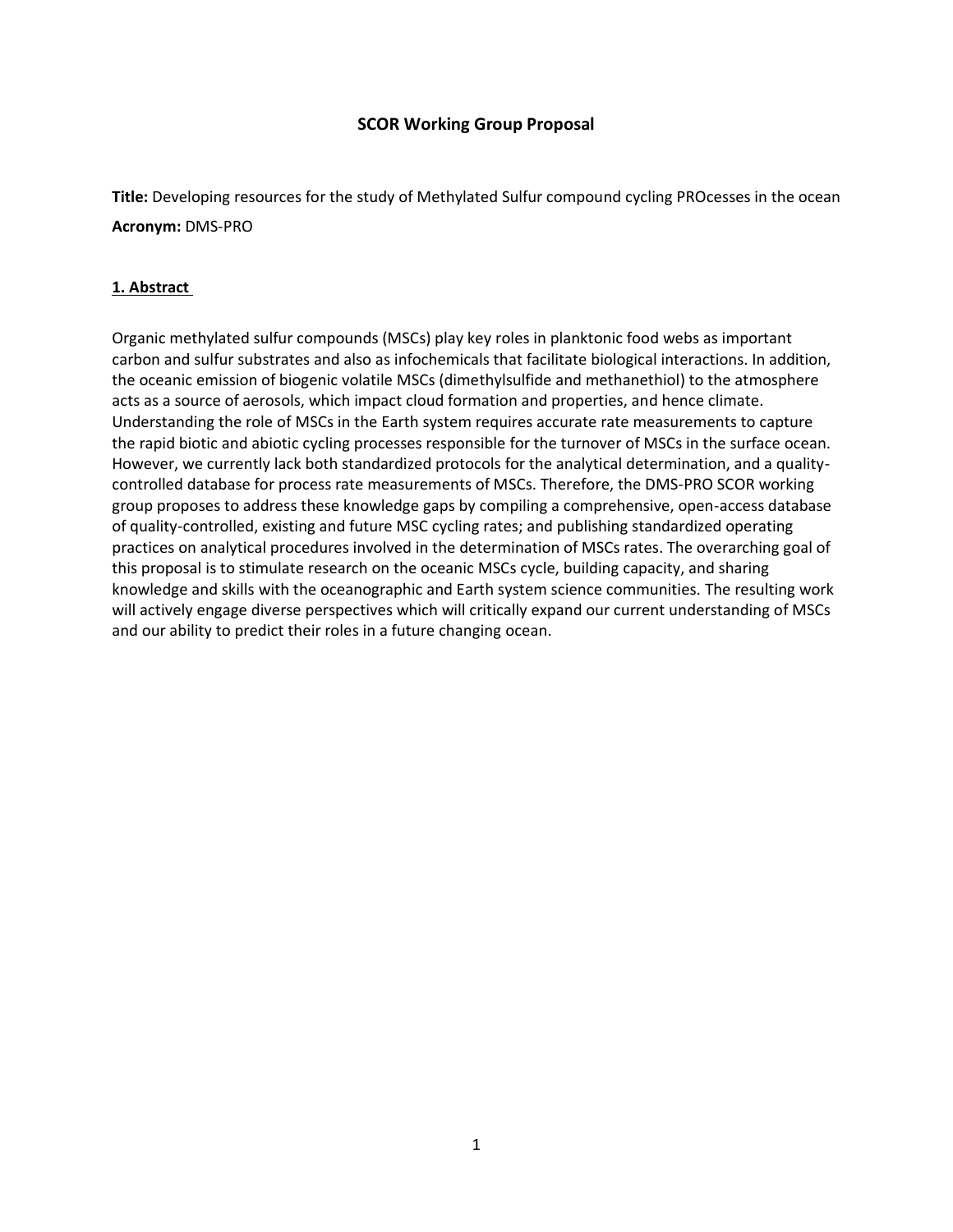# **SCOR Working Group Proposal**

**Title:** Developing resources for the study of Methylated Sulfur compound cycling PROcesses in the ocean **Acronym:** DMS-PRO

# **1. Abstract**

Organic methylated sulfur compounds (MSCs) play key roles in planktonic food webs as important carbon and sulfur substrates and also as infochemicals that facilitate biological interactions. In addition, the oceanic emission of biogenic volatile MSCs (dimethylsulfide and methanethiol) to the atmosphere acts as a source of aerosols, which impact cloud formation and properties, and hence climate. Understanding the role of MSCs in the Earth system requires accurate rate measurements to capture the rapid biotic and abiotic cycling processes responsible for the turnover of MSCs in the surface ocean. However, we currently lack both standardized protocols for the analytical determination, and a qualitycontrolled database for process rate measurements of MSCs. Therefore, the DMS-PRO SCOR working group proposes to address these knowledge gaps by compiling a comprehensive, open-access database of quality-controlled, existing and future MSC cycling rates; and publishing standardized operating practices on analytical procedures involved in the determination of MSCs rates. The overarching goal of this proposal is to stimulate research on the oceanic MSCs cycle, building capacity, and sharing knowledge and skills with the oceanographic and Earth system science communities. The resulting work will actively engage diverse perspectives which will critically expand our current understanding of MSCs and our ability to predict their roles in a future changing ocean.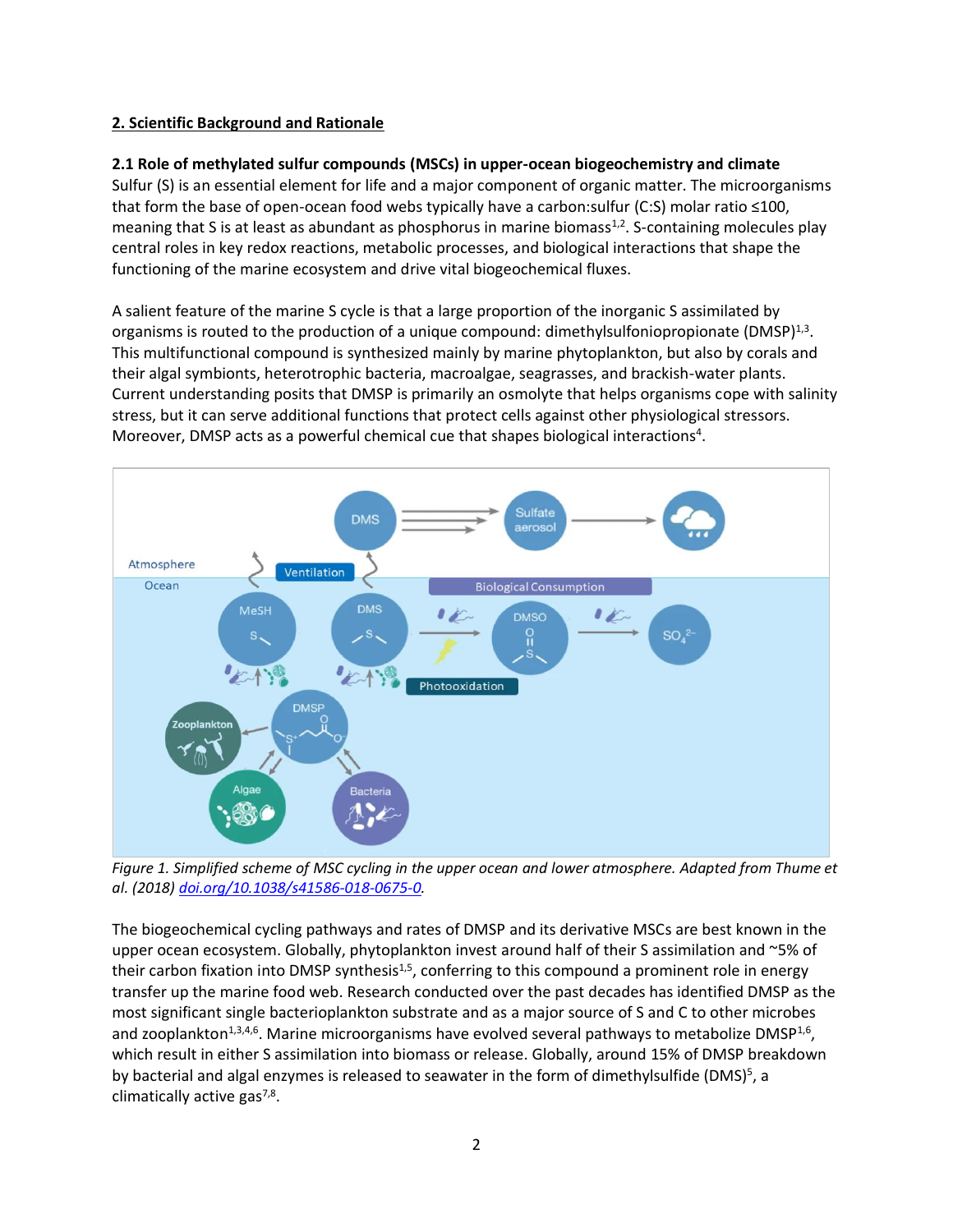# **2. Scientific Background and Rationale**

# **2.1 Role of methylated sulfur compounds (MSCs) in upper-ocean biogeochemistry and climate**

Sulfur (S) is an essential element for life and a major component of organic matter. The microorganisms that form the base of open-ocean food webs typically have a carbon:sulfur (C:S) molar ratio ≤100, meaning that S is at least as abundant as phosphorus in marine biomass<sup>1,2</sup>. S-containing molecules play central roles in key redox reactions, metabolic processes, and biological interactions that shape the functioning of the marine ecosystem and drive vital biogeochemical fluxes.

A salient feature of the marine S cycle is that a large proportion of the inorganic S assimilated by organisms is routed to the production of a unique compound: dimethylsulfoniopropionate (DMSP)<sup>1,3</sup>. This multifunctional compound is synthesized mainly by marine phytoplankton, but also by corals and their algal symbionts, heterotrophic bacteria, macroalgae, seagrasses, and brackish-water plants. Current understanding posits that DMSP is primarily an osmolyte that helps organisms cope with salinity stress, but it can serve additional functions that protect cells against other physiological stressors. Moreover, DMSP acts as a powerful chemical cue that shapes biological interactions<sup>4</sup>.



*Figure 1. Simplified scheme of MSC cycling in the upper ocean and lower atmosphere. Adapted from Thume et al. (2018) [doi.org/10.1038/s41586-018-0675-0.](https://doi.org/10.1038/s41586-018-0675-0)*

The biogeochemical cycling pathways and rates of DMSP and its derivative MSCs are best known in the upper ocean ecosystem. Globally, phytoplankton invest around half of their S assimilation and ~5% of their carbon fixation into DMSP synthesis<sup>1,5</sup>, conferring to this compound a prominent role in energy transfer up the marine food web. Research conducted over the past decades has identified DMSP as the most significant single bacterioplankton substrate and as a major source of S and C to other microbes and zooplankton<sup>1,3,4,6</sup>. Marine microorganisms have evolved several pathways to metabolize DMSP<sup>1,6</sup>, which result in either S assimilation into biomass or release. Globally, around 15% of DMSP breakdown by bacterial and algal enzymes is released to seawater in the form of dimethylsulfide (DMS)<sup>5</sup>, a climatically active gas<sup>7,8</sup>.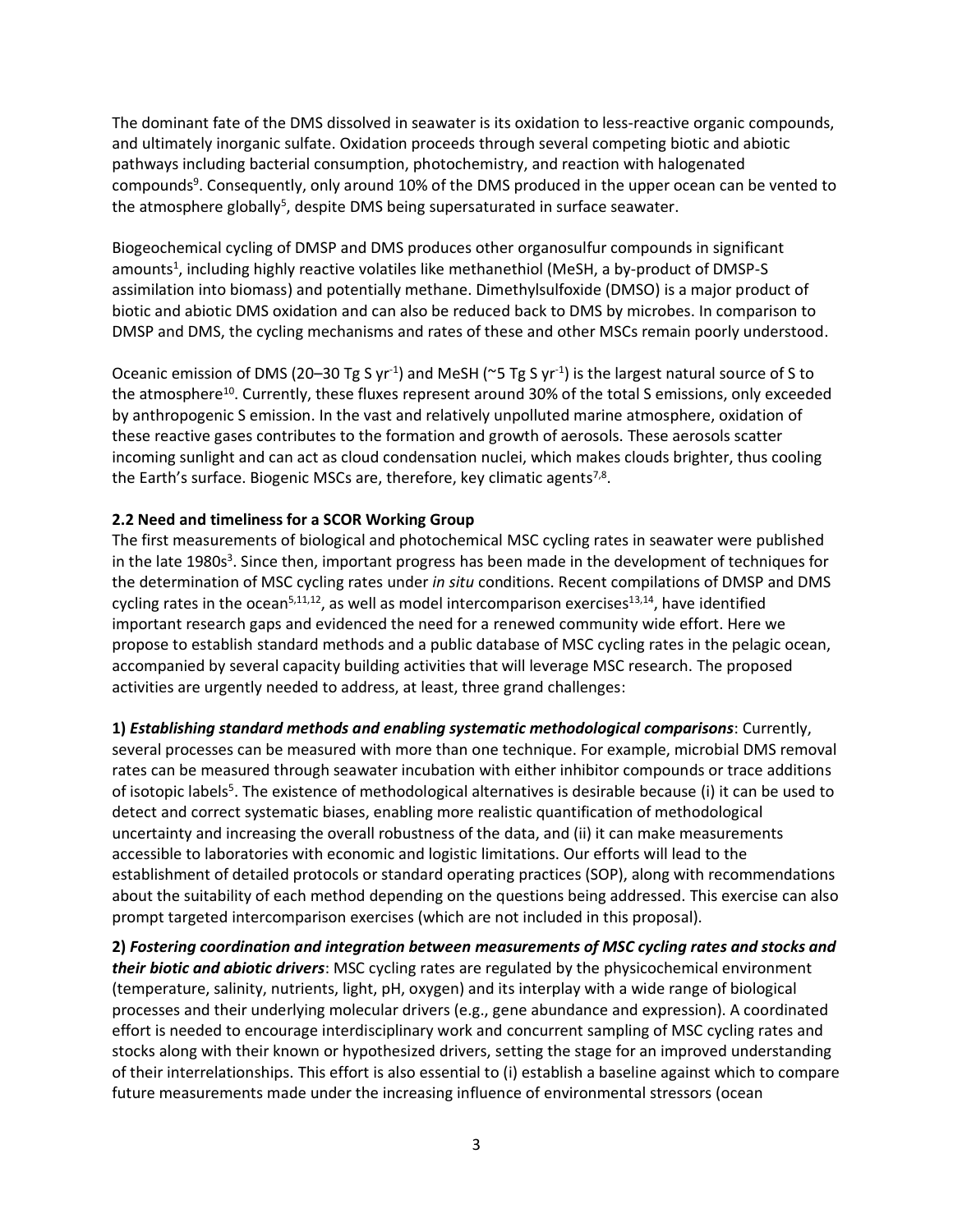The dominant fate of the DMS dissolved in seawater is its oxidation to less-reactive organic compounds, and ultimately inorganic sulfate. Oxidation proceeds through several competing biotic and abiotic pathways including bacterial consumption, photochemistry, and reaction with halogenated compounds<sup>9</sup>. Consequently, only around 10% of the DMS produced in the upper ocean can be vented to the atmosphere globally<sup>5</sup>, despite DMS being supersaturated in surface seawater.

Biogeochemical cycling of DMSP and DMS produces other organosulfur compounds in significant amounts<sup>1</sup>, including highly reactive volatiles like methanethiol (MeSH, a by-product of DMSP-S assimilation into biomass) and potentially methane. Dimethylsulfoxide (DMSO) is a major product of biotic and abiotic DMS oxidation and can also be reduced back to DMS by microbes. In comparison to DMSP and DMS, the cycling mechanisms and rates of these and other MSCs remain poorly understood.

Oceanic emission of DMS (20–30 Tg S yr<sup>-1</sup>) and MeSH ( $\sim$ 5 Tg S yr<sup>-1</sup>) is the largest natural source of S to the atmosphere<sup>10</sup>. Currently, these fluxes represent around 30% of the total S emissions, only exceeded by anthropogenic S emission. In the vast and relatively unpolluted marine atmosphere, oxidation of these reactive gases contributes to the formation and growth of aerosols. These aerosols scatter incoming sunlight and can act as cloud condensation nuclei, which makes clouds brighter, thus cooling the Earth's surface. Biogenic MSCs are, therefore, key climatic agents<sup>7,8</sup>.

### **2.2 Need and timeliness for a SCOR Working Group**

The first measurements of biological and photochemical MSC cycling rates in seawater were published in the late 1980s<sup>3</sup>. Since then, important progress has been made in the development of techniques for the determination of MSC cycling rates under *in situ* conditions. Recent compilations of DMSP and DMS cycling rates in the ocean<sup>5,11,12</sup>, as well as model intercomparison exercises<sup>13,14</sup>, have identified important research gaps and evidenced the need for a renewed community wide effort. Here we propose to establish standard methods and a public database of MSC cycling rates in the pelagic ocean, accompanied by several capacity building activities that will leverage MSC research. The proposed activities are urgently needed to address, at least, three grand challenges:

**1)** *Establishing standard methods and enabling systematic methodological comparisons*: Currently, several processes can be measured with more than one technique. For example, microbial DMS removal rates can be measured through seawater incubation with either inhibitor compounds or trace additions of isotopic labels<sup>5</sup>. The existence of methodological alternatives is desirable because (i) it can be used to detect and correct systematic biases, enabling more realistic quantification of methodological uncertainty and increasing the overall robustness of the data, and (ii) it can make measurements accessible to laboratories with economic and logistic limitations. Our efforts will lead to the establishment of detailed protocols or standard operating practices (SOP), along with recommendations about the suitability of each method depending on the questions being addressed. This exercise can also prompt targeted intercomparison exercises (which are not included in this proposal).

**2)** *Fostering coordination and integration between measurements of MSC cycling rates and stocks and their biotic and abiotic drivers*: MSC cycling rates are regulated by the physicochemical environment (temperature, salinity, nutrients, light, pH, oxygen) and its interplay with a wide range of biological processes and their underlying molecular drivers (e.g., gene abundance and expression). A coordinated effort is needed to encourage interdisciplinary work and concurrent sampling of MSC cycling rates and stocks along with their known or hypothesized drivers, setting the stage for an improved understanding of their interrelationships. This effort is also essential to (i) establish a baseline against which to compare future measurements made under the increasing influence of environmental stressors (ocean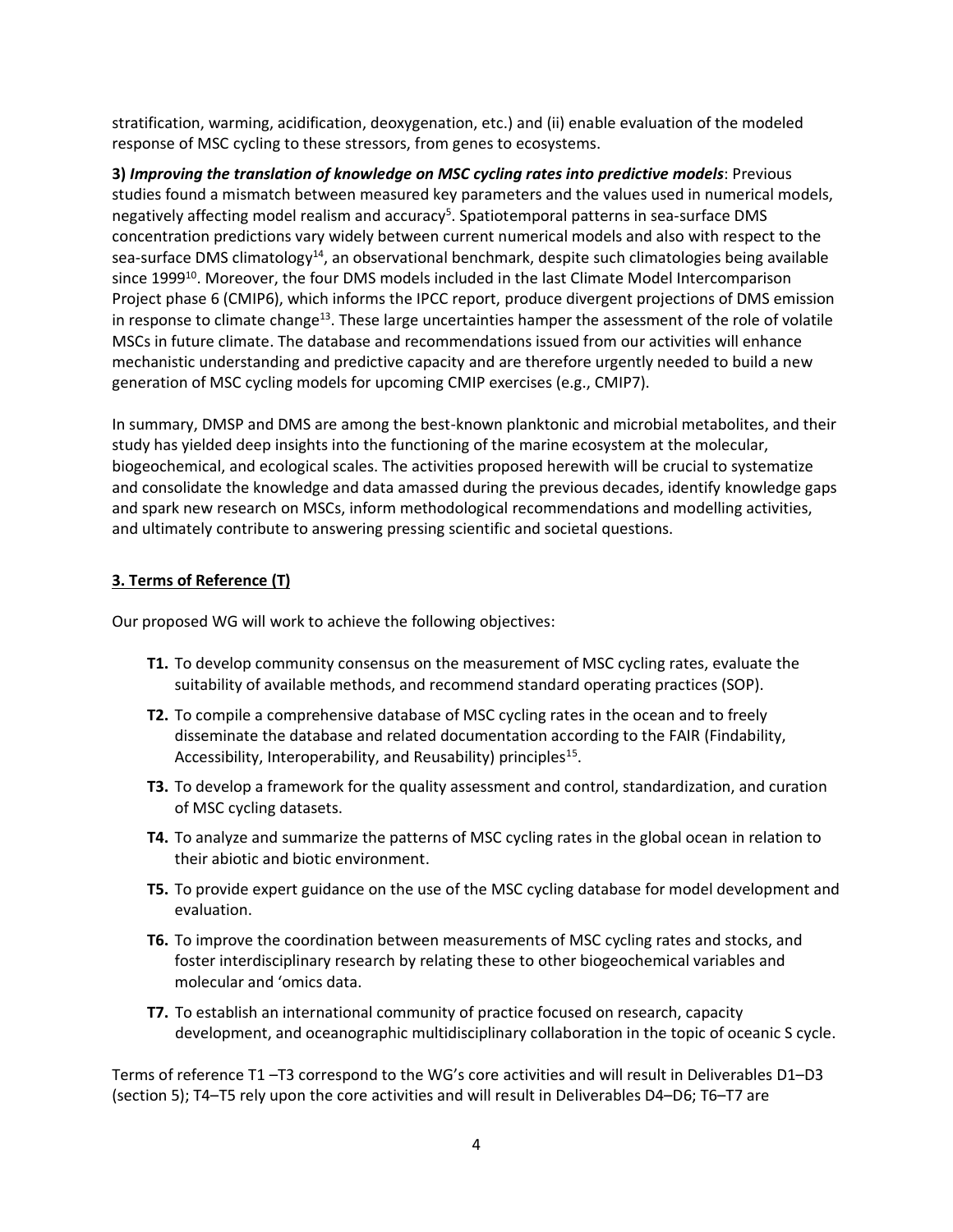stratification, warming, acidification, deoxygenation, etc.) and (ii) enable evaluation of the modeled response of MSC cycling to these stressors, from genes to ecosystems.

**3)** *Improving the translation of knowledge on MSC cycling rates into predictive models*: Previous studies found a mismatch between measured key parameters and the values used in numerical models, negatively affecting model realism and accuracy<sup>5</sup>. Spatiotemporal patterns in sea-surface DMS concentration predictions vary widely between current numerical models and also with respect to the sea-surface DMS climatology<sup>14</sup>, an observational benchmark, despite such climatologies being available since 1999<sup>10</sup>. Moreover, the four DMS models included in the last Climate Model Intercomparison Project phase 6 (CMIP6), which informs the IPCC report, produce divergent projections of DMS emission in response to climate change<sup>13</sup>. These large uncertainties hamper the assessment of the role of volatile MSCs in future climate. The database and recommendations issued from our activities will enhance mechanistic understanding and predictive capacity and are therefore urgently needed to build a new generation of MSC cycling models for upcoming CMIP exercises (e.g., CMIP7).

In summary, DMSP and DMS are among the best-known planktonic and microbial metabolites, and their study has yielded deep insights into the functioning of the marine ecosystem at the molecular, biogeochemical, and ecological scales. The activities proposed herewith will be crucial to systematize and consolidate the knowledge and data amassed during the previous decades, identify knowledge gaps and spark new research on MSCs, inform methodological recommendations and modelling activities, and ultimately contribute to answering pressing scientific and societal questions.

# **3. Terms of Reference (T)**

Our proposed WG will work to achieve the following objectives:

- **T1.** To develop community consensus on the measurement of MSC cycling rates, evaluate the suitability of available methods, and recommend standard operating practices (SOP).
- **T2.** To compile a comprehensive database of MSC cycling rates in the ocean and to freely disseminate the database and related documentation according to the FAIR (Findability, Accessibility, Interoperability, and Reusability) principles<sup>15</sup>.
- **T3.** To develop a framework for the quality assessment and control, standardization, and curation of MSC cycling datasets.
- **T4.** To analyze and summarize the patterns of MSC cycling rates in the global ocean in relation to their abiotic and biotic environment.
- **T5.** To provide expert guidance on the use of the MSC cycling database for model development and evaluation.
- **T6.** To improve the coordination between measurements of MSC cycling rates and stocks, and foster interdisciplinary research by relating these to other biogeochemical variables and molecular and 'omics data.
- **T7.** To establish an international community of practice focused on research, capacity development, and oceanographic multidisciplinary collaboration in the topic of oceanic S cycle.

Terms of reference T1 –T3 correspond to the WG's core activities and will result in Deliverables D1–D3 (section 5); T4–T5 rely upon the core activities and will result in Deliverables D4–D6; T6–T7 are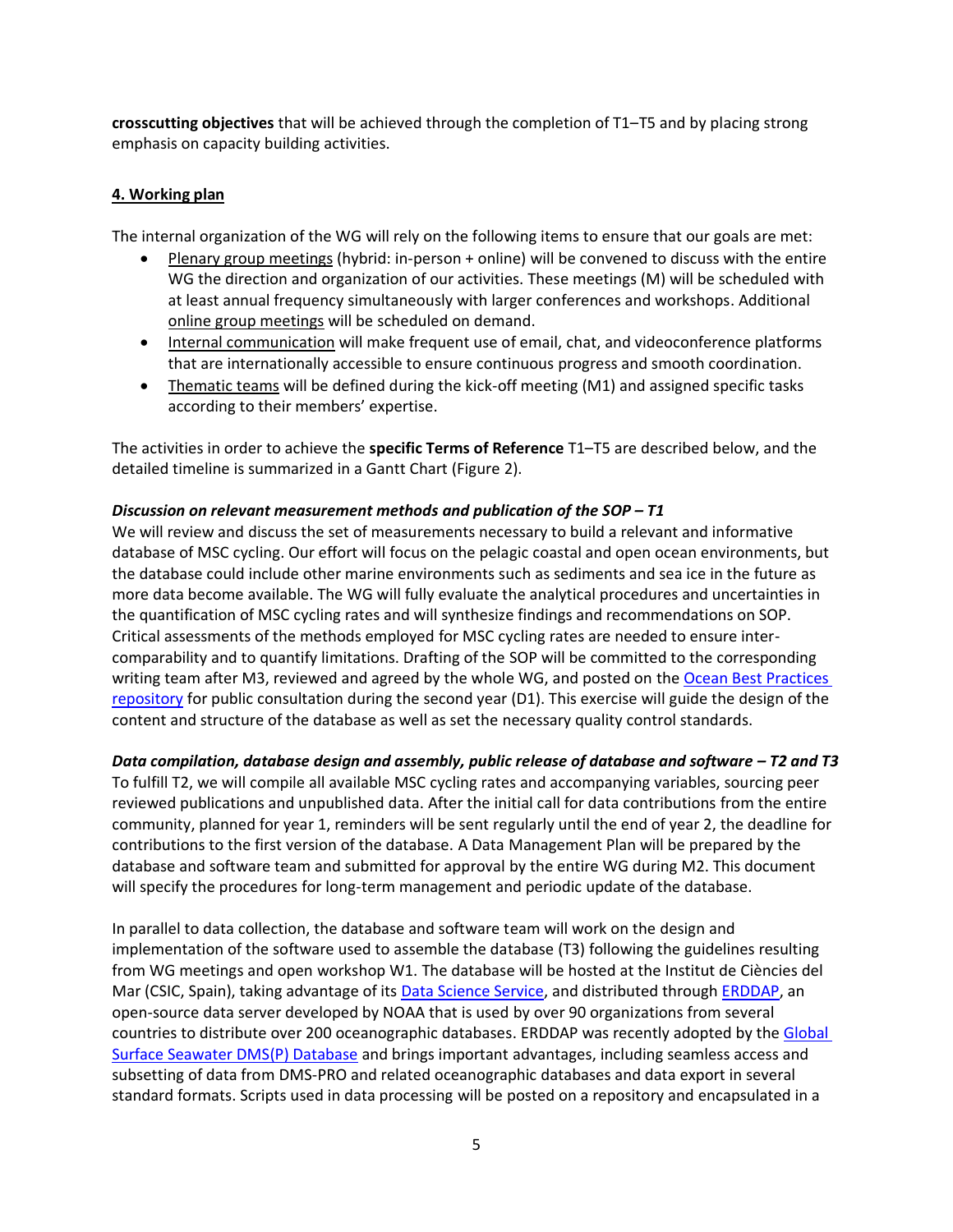**crosscutting objectives** that will be achieved through the completion of T1–T5 and by placing strong emphasis on capacity building activities.

### **4. Working plan**

The internal organization of the WG will rely on the following items to ensure that our goals are met:

- Plenary group meetings (hybrid: in-person + online) will be convened to discuss with the entire WG the direction and organization of our activities. These meetings (M) will be scheduled with at least annual frequency simultaneously with larger conferences and workshops. Additional online group meetings will be scheduled on demand.
- Internal communication will make frequent use of email, chat, and videoconference platforms that are internationally accessible to ensure continuous progress and smooth coordination.
- Thematic teams will be defined during the kick-off meeting (M1) and assigned specific tasks according to their members' expertise.

The activities in order to achieve the **specific Terms of Reference** T1–T5 are described below, and the detailed timeline is summarized in a Gantt Chart (Figure 2).

#### *Discussion on relevant measurement methods and publication of the SOP – T1*

We will review and discuss the set of measurements necessary to build a relevant and informative database of MSC cycling. Our effort will focus on the pelagic coastal and open ocean environments, but the database could include other marine environments such as sediments and sea ice in the future as more data become available. The WG will fully evaluate the analytical procedures and uncertainties in the quantification of MSC cycling rates and will synthesize findings and recommendations on SOP. Critical assessments of the methods employed for MSC cycling rates are needed to ensure intercomparability and to quantify limitations. Drafting of the SOP will be committed to the corresponding writing team after M3, reviewed and agreed by the whole WG, and posted on the Ocean Best Practices [repository](https://repository.oceanbestpractices.org/) for public consultation during the second year (D1). This exercise will guide the design of the content and structure of the database as well as set the necessary quality control standards.

### *Data compilation, database design and assembly, public release of database and software – T2 and T3*

To fulfill T2, we will compile all available MSC cycling rates and accompanying variables, sourcing peer reviewed publications and unpublished data. After the initial call for data contributions from the entire community, planned for year 1, reminders will be sent regularly until the end of year 2, the deadline for contributions to the first version of the database. A Data Management Plan will be prepared by the database and software team and submitted for approval by the entire WG during M2. This document will specify the procedures for long-term management and periodic update of the database.

In parallel to data collection, the database and software team will work on the design and implementation of the software used to assemble the database (T3) following the guidelines resulting from WG meetings and open workshop W1. The database will be hosted at the Institut de Ciències del Mar (CSIC, Spain), taking advantage of its [Data Science Service,](https://www.icm.csic.es/en/service/data-science) and distributed through [ERDDAP,](https://coastwatch.pfeg.noaa.gov/erddap/index.html) an open-source data server developed by NOAA that is used by over 90 organizations from several countries to distribute over 200 oceanographic databases. ERDDAP was recently adopted by the Global [Surface Seawater DMS\(P\) Database](https://saga.pmel.noaa.gov/dms/) and brings important advantages, including seamless access and subsetting of data from DMS-PRO and related oceanographic databases and data export in several standard formats. Scripts used in data processing will be posted on a repository and encapsulated in a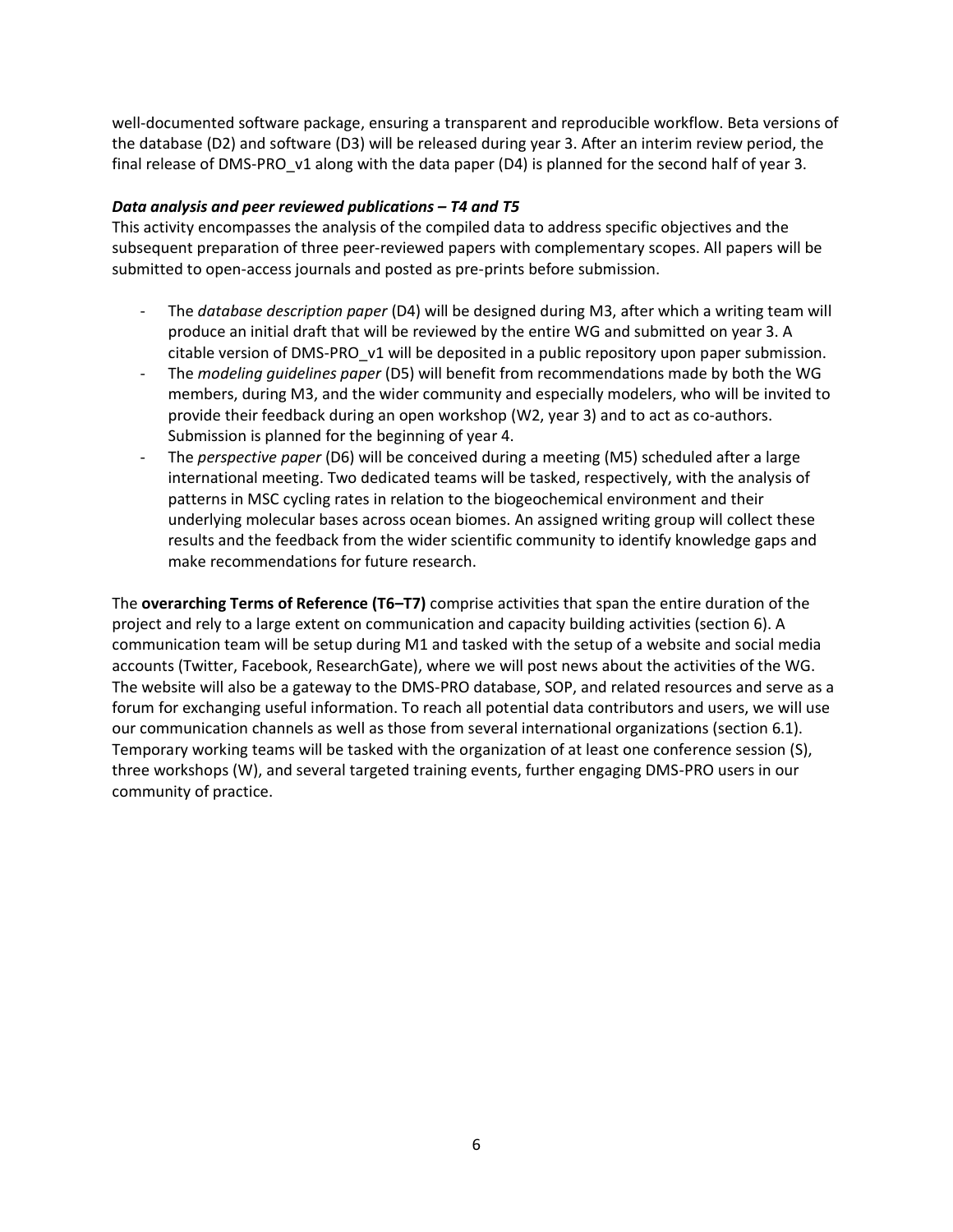well-documented software package, ensuring a transparent and reproducible workflow. Beta versions of the database (D2) and software (D3) will be released during year 3. After an interim review period, the final release of DMS-PRO\_v1 along with the data paper (D4) is planned for the second half of year 3.

### *Data analysis and peer reviewed publications – T4 and T5*

This activity encompasses the analysis of the compiled data to address specific objectives and the subsequent preparation of three peer-reviewed papers with complementary scopes. All papers will be submitted to open-access journals and posted as pre-prints before submission.

- The *database description paper* (D4) will be designed during M3, after which a writing team will produce an initial draft that will be reviewed by the entire WG and submitted on year 3. A citable version of DMS-PRO\_v1 will be deposited in a public repository upon paper submission.
- The *modeling guidelines paper* (D5) will benefit from recommendations made by both the WG members, during M3, and the wider community and especially modelers, who will be invited to provide their feedback during an open workshop (W2, year 3) and to act as co-authors. Submission is planned for the beginning of year 4.
- The *perspective paper* (D6) will be conceived during a meeting (M5) scheduled after a large international meeting. Two dedicated teams will be tasked, respectively, with the analysis of patterns in MSC cycling rates in relation to the biogeochemical environment and their underlying molecular bases across ocean biomes. An assigned writing group will collect these results and the feedback from the wider scientific community to identify knowledge gaps and make recommendations for future research.

The **overarching Terms of Reference (T6–T7)** comprise activities that span the entire duration of the project and rely to a large extent on communication and capacity building activities (section 6). A communication team will be setup during M1 and tasked with the setup of a website and social media accounts (Twitter, Facebook, ResearchGate), where we will post news about the activities of the WG. The website will also be a gateway to the DMS-PRO database, SOP, and related resources and serve as a forum for exchanging useful information. To reach all potential data contributors and users, we will use our communication channels as well as those from several international organizations (section 6.1). Temporary working teams will be tasked with the organization of at least one conference session (S), three workshops (W), and several targeted training events, further engaging DMS-PRO users in our community of practice.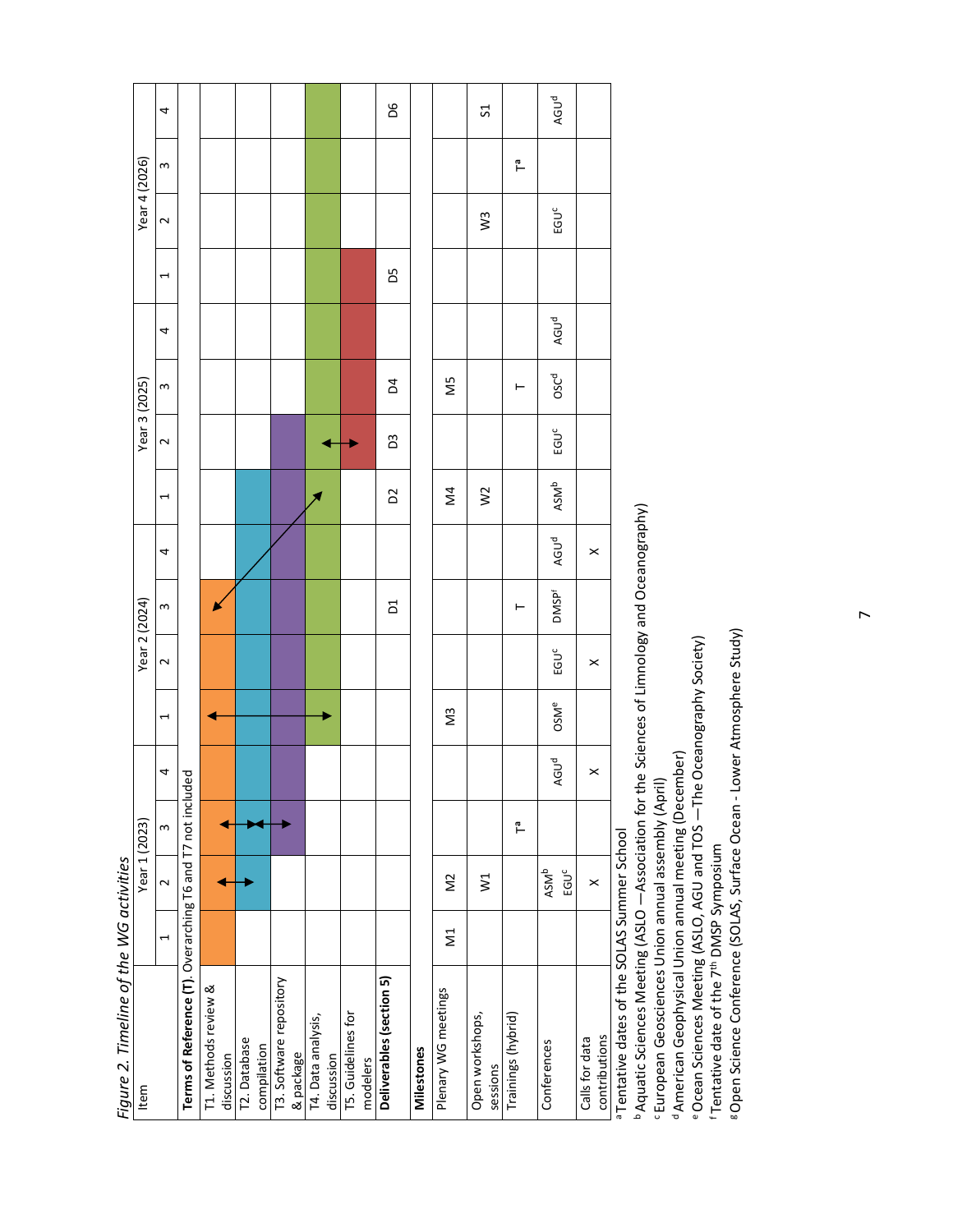| AGU <sup>d</sup><br>8G<br>S <sub>1</sub><br>4<br>۴<br>S<br>EGU <sup>C</sup><br>λ3<br>$\sim$<br>50<br>1<br>AGU <sup>d</sup><br>4<br>ಯಲ<br>N5<br>Ŕ<br>S<br>⊢<br>EGU <sup>C</sup><br>D3<br>$\sim$<br>ASMb<br>$\overline{M}$<br>$\sqrt{2}$<br>20<br>1<br>AGU <sup>d</sup><br>4<br>×<br><b>DMSPf</b><br>Ξ<br>S<br>⊢<br>EGU <sup>C</sup><br>$\sim$<br>×<br><b>OSM<sup>e</sup></b><br>$\overline{M}$<br>AGU <sup>d</sup><br>$\times$<br>4<br>Terms of Reference (T). Overarching T6 and T7 not included<br>۴<br>$\mathsf{S}$<br>ASMb<br>EGU <sup>C</sup><br>$\approx$<br>$\overline{\mathsf{S}}$<br>$\sim$<br>$\times$<br>$\overline{\Sigma}$<br>T3. Software repository<br>T1. Methods review &<br>Plenary WG meetings<br>Trainings (hybrid)<br>Open workshops,<br>contributions<br>Calls for data<br>T2. Database<br>Conferences<br>compilation<br><b>Milestones</b><br>discussion<br>sessions | Figure 2. Timeline of the WG activities<br>Item |  | Year 1 (2023) |  | Year 2 (2024) |  | Year 3 (2025) |  | Year 4 (2026) |  |
|-------------------------------------------------------------------------------------------------------------------------------------------------------------------------------------------------------------------------------------------------------------------------------------------------------------------------------------------------------------------------------------------------------------------------------------------------------------------------------------------------------------------------------------------------------------------------------------------------------------------------------------------------------------------------------------------------------------------------------------------------------------------------------------------------------------------------------------------------------------------------------------------|-------------------------------------------------|--|---------------|--|---------------|--|---------------|--|---------------|--|
|                                                                                                                                                                                                                                                                                                                                                                                                                                                                                                                                                                                                                                                                                                                                                                                                                                                                                           |                                                 |  |               |  |               |  |               |  |               |  |
|                                                                                                                                                                                                                                                                                                                                                                                                                                                                                                                                                                                                                                                                                                                                                                                                                                                                                           |                                                 |  |               |  |               |  |               |  |               |  |
|                                                                                                                                                                                                                                                                                                                                                                                                                                                                                                                                                                                                                                                                                                                                                                                                                                                                                           |                                                 |  |               |  |               |  |               |  |               |  |
|                                                                                                                                                                                                                                                                                                                                                                                                                                                                                                                                                                                                                                                                                                                                                                                                                                                                                           |                                                 |  |               |  |               |  |               |  |               |  |
|                                                                                                                                                                                                                                                                                                                                                                                                                                                                                                                                                                                                                                                                                                                                                                                                                                                                                           |                                                 |  |               |  |               |  |               |  |               |  |
|                                                                                                                                                                                                                                                                                                                                                                                                                                                                                                                                                                                                                                                                                                                                                                                                                                                                                           |                                                 |  |               |  |               |  |               |  |               |  |
|                                                                                                                                                                                                                                                                                                                                                                                                                                                                                                                                                                                                                                                                                                                                                                                                                                                                                           | & package                                       |  |               |  |               |  |               |  |               |  |
|                                                                                                                                                                                                                                                                                                                                                                                                                                                                                                                                                                                                                                                                                                                                                                                                                                                                                           | T4. Data analysis,                              |  |               |  |               |  |               |  |               |  |
|                                                                                                                                                                                                                                                                                                                                                                                                                                                                                                                                                                                                                                                                                                                                                                                                                                                                                           | discussion                                      |  |               |  |               |  |               |  |               |  |
|                                                                                                                                                                                                                                                                                                                                                                                                                                                                                                                                                                                                                                                                                                                                                                                                                                                                                           | T5. Guidelines for                              |  |               |  |               |  |               |  |               |  |
|                                                                                                                                                                                                                                                                                                                                                                                                                                                                                                                                                                                                                                                                                                                                                                                                                                                                                           | modelers                                        |  |               |  |               |  |               |  |               |  |
|                                                                                                                                                                                                                                                                                                                                                                                                                                                                                                                                                                                                                                                                                                                                                                                                                                                                                           | Deliverables (section 5)                        |  |               |  |               |  |               |  |               |  |
|                                                                                                                                                                                                                                                                                                                                                                                                                                                                                                                                                                                                                                                                                                                                                                                                                                                                                           |                                                 |  |               |  |               |  |               |  |               |  |
|                                                                                                                                                                                                                                                                                                                                                                                                                                                                                                                                                                                                                                                                                                                                                                                                                                                                                           |                                                 |  |               |  |               |  |               |  |               |  |
|                                                                                                                                                                                                                                                                                                                                                                                                                                                                                                                                                                                                                                                                                                                                                                                                                                                                                           |                                                 |  |               |  |               |  |               |  |               |  |
|                                                                                                                                                                                                                                                                                                                                                                                                                                                                                                                                                                                                                                                                                                                                                                                                                                                                                           |                                                 |  |               |  |               |  |               |  |               |  |
|                                                                                                                                                                                                                                                                                                                                                                                                                                                                                                                                                                                                                                                                                                                                                                                                                                                                                           |                                                 |  |               |  |               |  |               |  |               |  |
|                                                                                                                                                                                                                                                                                                                                                                                                                                                                                                                                                                                                                                                                                                                                                                                                                                                                                           |                                                 |  |               |  |               |  |               |  |               |  |
|                                                                                                                                                                                                                                                                                                                                                                                                                                                                                                                                                                                                                                                                                                                                                                                                                                                                                           |                                                 |  |               |  |               |  |               |  |               |  |
|                                                                                                                                                                                                                                                                                                                                                                                                                                                                                                                                                                                                                                                                                                                                                                                                                                                                                           |                                                 |  |               |  |               |  |               |  |               |  |

<sup>b</sup> Aquatic Sciences Meeting (ASLO - Association for the Sciences of Limnology and Oceanography)  $^{\sf b}$  Aquatic Sciences Meeting (ASLO  $-$ Association for the Sciences of Limnology and Oceanography)

<sup>c</sup>European Geosciences Union annual assembly (April) European Geosciences Union annual assembly (April)

American Geophysical Union annual meeting (December)

<sup>d</sup> American Geophysical Union annual meeting (December)<br><sup>e</sup> Ocean Sciences Meeting (ASLO, AGU and TOS —The Oceanography Society)  $^e$  Ocean Sciences Meeting (ASLO, AGU and TOS  $-$ The Oceanography Society)

<sup>f</sup>Tentative date of the 7<sup>th</sup> DMSP Symposium Tentative date of the 7th DMSP Symposium

<sup>8</sup> Open Science Conference (SOLAS, Surface Ocean - Lower Atmosphere Study)  $e$ Open Science Conference (SOLAS, Surface Ocean - Lower Atmosphere Study)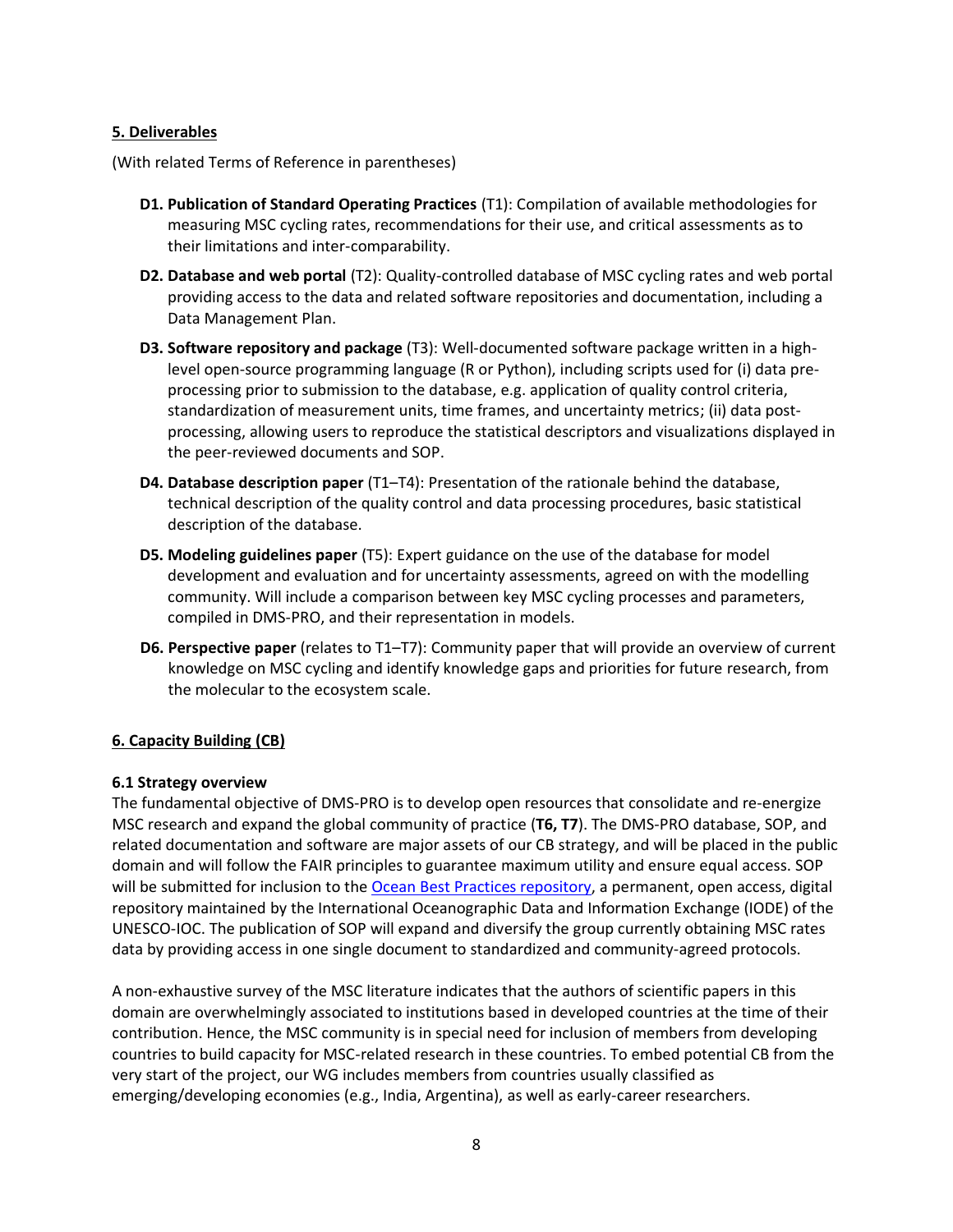### **5. Deliverables**

(With related Terms of Reference in parentheses)

- **D1. Publication of Standard Operating Practices** (T1): Compilation of available methodologies for measuring MSC cycling rates, recommendations for their use, and critical assessments as to their limitations and inter-comparability.
- **D2. Database and web portal** (T2): Quality-controlled database of MSC cycling rates and web portal providing access to the data and related software repositories and documentation, including a Data Management Plan.
- **D3. Software repository and package** (T3): Well-documented software package written in a highlevel open-source programming language (R or Python), including scripts used for (i) data preprocessing prior to submission to the database, e.g. application of quality control criteria, standardization of measurement units, time frames, and uncertainty metrics; (ii) data postprocessing, allowing users to reproduce the statistical descriptors and visualizations displayed in the peer-reviewed documents and SOP.
- **D4. Database description paper** (T1–T4): Presentation of the rationale behind the database, technical description of the quality control and data processing procedures, basic statistical description of the database.
- **D5. Modeling guidelines paper** (T5): Expert guidance on the use of the database for model development and evaluation and for uncertainty assessments, agreed on with the modelling community. Will include a comparison between key MSC cycling processes and parameters, compiled in DMS-PRO, and their representation in models.
- **D6. Perspective paper** (relates to T1–T7): Community paper that will provide an overview of current knowledge on MSC cycling and identify knowledge gaps and priorities for future research, from the molecular to the ecosystem scale.

### **6. Capacity Building (CB)**

#### **6.1 Strategy overview**

The fundamental objective of DMS-PRO is to develop open resources that consolidate and re-energize MSC research and expand the global community of practice (**T6, T7**). The DMS-PRO database, SOP, and related documentation and software are major assets of our CB strategy, and will be placed in the public domain and will follow the FAIR principles to guarantee maximum utility and ensure equal access. SOP will be submitted for inclusion to the [Ocean Best Practices repository,](https://repository.oceanbestpractices.org/) a permanent, open access, digital repository maintained by the International Oceanographic Data and Information Exchange (IODE) of the UNESCO-IOC. The publication of SOP will expand and diversify the group currently obtaining MSC rates data by providing access in one single document to standardized and community-agreed protocols.

A non-exhaustive survey of the MSC literature indicates that the authors of scientific papers in this domain are overwhelmingly associated to institutions based in developed countries at the time of their contribution. Hence, the MSC community is in special need for inclusion of members from developing countries to build capacity for MSC-related research in these countries. To embed potential CB from the very start of the project, our WG includes members from countries usually classified as emerging/developing economies (e.g., India, Argentina), as well as early-career researchers.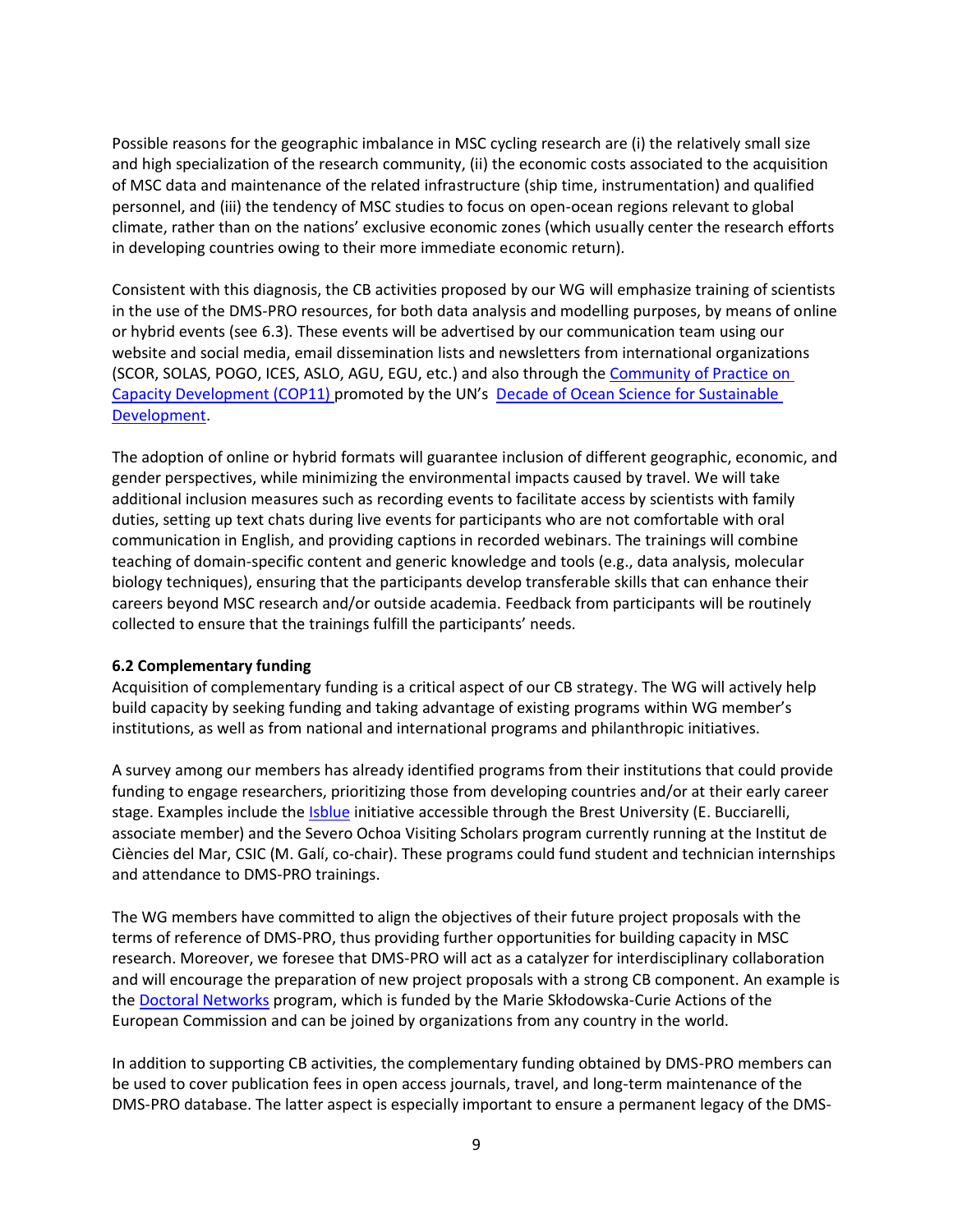Possible reasons for the geographic imbalance in MSC cycling research are (i) the relatively small size and high specialization of the research community, (ii) the economic costs associated to the acquisition of MSC data and maintenance of the related infrastructure (ship time, instrumentation) and qualified personnel, and (iii) the tendency of MSC studies to focus on open-ocean regions relevant to global climate, rather than on the nations' exclusive economic zones (which usually center the research efforts in developing countries owing to their more immediate economic return).

Consistent with this diagnosis, the CB activities proposed by our WG will emphasize training of scientists in the use of the DMS-PRO resources, for both data analysis and modelling purposes, by means of online or hybrid events (see 6.3). These events will be advertised by our communication team using our website and social media, email dissemination lists and newsletters from international organizations (SCOR, SOLAS, POGO, ICES, ASLO, AGU, EGU, etc.) and also through the Community of Practice on Capacity Development (COP11) promoted by the UN's [Decade of Ocean Science for Sustainable](https://www.oceandecade.org/challenges/)  [Development.](https://www.oceandecade.org/challenges/)

The adoption of online or hybrid formats will guarantee inclusion of different geographic, economic, and gender perspectives, while minimizing the environmental impacts caused by travel. We will take additional inclusion measures such as recording events to facilitate access by scientists with family duties, setting up text chats during live events for participants who are not comfortable with oral communication in English, and providing captions in recorded webinars. The trainings will combine teaching of domain-specific content and generic knowledge and tools (e.g., data analysis, molecular biology techniques), ensuring that the participants develop transferable skills that can enhance their careers beyond MSC research and/or outside academia. Feedback from participants will be routinely collected to ensure that the trainings fulfill the participants' needs.

### **6.2 Complementary funding**

Acquisition of complementary funding is a critical aspect of our CB strategy. The WG will actively help build capacity by seeking funding and taking advantage of existing programs within WG member's institutions, as well as from national and international programs and philanthropic initiatives.

A survey among our members has already identified programs from their institutions that could provide funding to engage researchers, prioritizing those from developing countries and/or at their early career stage. Examples include the *Isblue* initiative accessible through the Brest University (E. Bucciarelli, associate member) and the Severo Ochoa Visiting Scholars program currently running at the Institut de Ciències del Mar, CSIC (M. Galí, co-chair). These programs could fund student and technician internships and attendance to DMS-PRO trainings.

The WG members have committed to align the objectives of their future project proposals with the terms of reference of DMS-PRO, thus providing further opportunities for building capacity in MSC research. Moreover, we foresee that DMS-PRO will act as a catalyzer for interdisciplinary collaboration and will encourage the preparation of new project proposals with a strong CB component. An example is th[e Doctoral Networks](https://marie-sklodowska-curie-actions.ec.europa.eu/actions/doctoral-networks) program, which is funded by the Marie Skłodowska-Curie Actions of the European Commission and can be joined by organizations from any country in the world.

In addition to supporting CB activities, the complementary funding obtained by DMS-PRO members can be used to cover publication fees in open access journals, travel, and long-term maintenance of the DMS-PRO database. The latter aspect is especially important to ensure a permanent legacy of the DMS-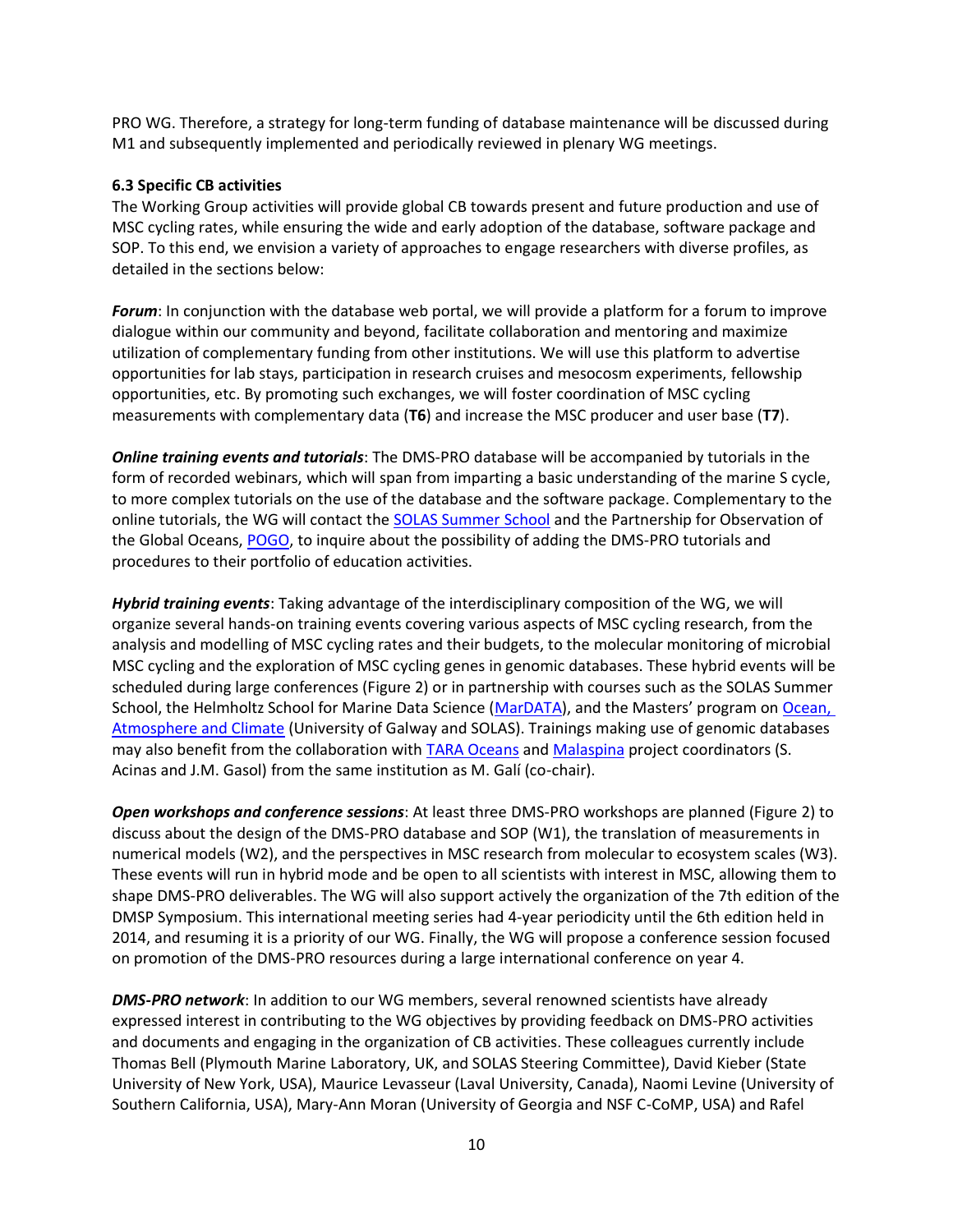PRO WG. Therefore, a strategy for long-term funding of database maintenance will be discussed during M1 and subsequently implemented and periodically reviewed in plenary WG meetings.

#### **6.3 Specific CB activities**

The Working Group activities will provide global CB towards present and future production and use of MSC cycling rates, while ensuring the wide and early adoption of the database, software package and SOP. To this end, we envision a variety of approaches to engage researchers with diverse profiles, as detailed in the sections below:

*Forum*: In conjunction with the database web portal, we will provide a platform for a forum to improve dialogue within our community and beyond, facilitate collaboration and mentoring and maximize utilization of complementary funding from other institutions. We will use this platform to advertise opportunities for lab stays, participation in research cruises and mesocosm experiments, fellowship opportunities, etc. By promoting such exchanges, we will foster coordination of MSC cycling measurements with complementary data (**T6**) and increase the MSC producer and user base (**T7**).

*Online training events and tutorials*: The DMS-PRO database will be accompanied by tutorials in the form of recorded webinars, which will span from imparting a basic understanding of the marine S cycle, to more complex tutorials on the use of the database and the software package. Complementary to the online tutorials, the WG will contact the [SOLAS Summer School](https://www.solas-int.org/news/events/summer-school-22-23.html) and the Partnership for Observation of the Global Oceans[, POGO,](https://pogo-ocean.org/) to inquire about the possibility of adding the DMS-PRO tutorials and procedures to their portfolio of education activities.

*Hybrid training events*: Taking advantage of the interdisciplinary composition of the WG, we will organize several hands-on training events covering various aspects of MSC cycling research, from the analysis and modelling of MSC cycling rates and their budgets, to the molecular monitoring of microbial MSC cycling and the exploration of MSC cycling genes in genomic databases. These hybrid events will be scheduled during large conferences (Figure 2) or in partnership with courses such as the SOLAS Summer School, the Helmholtz School for Marine Data Science [\(MarDATA\)](MarDATA), and the Masters' program on [Ocean,](https://www.nuigalway.ie/courses/research-postgraduate-programmes/structured-phd/ocean-atmosphere-climate-interactions-structured.html/)  [Atmosphere and Climate](https://www.nuigalway.ie/courses/research-postgraduate-programmes/structured-phd/ocean-atmosphere-climate-interactions-structured.html/) (University of Galway and SOLAS). Trainings making use of genomic databases may also benefit from the collaboration with [TARA Oceans](https://fondationtaraocean.org/en/expedition/tara-oceans/) and [Malaspina](http://scientific.expedicionmalaspina.es/) project coordinators (S. Acinas and J.M. Gasol) from the same institution as M. Galí (co-chair).

*Open workshops and conference sessions*: At least three DMS-PRO workshops are planned (Figure 2) to discuss about the design of the DMS-PRO database and SOP (W1), the translation of measurements in numerical models (W2), and the perspectives in MSC research from molecular to ecosystem scales (W3). These events will run in hybrid mode and be open to all scientists with interest in MSC, allowing them to shape DMS-PRO deliverables. The WG will also support actively the organization of the 7th edition of the DMSP Symposium. This international meeting series had 4-year periodicity until the 6th edition held in 2014, and resuming it is a priority of our WG. Finally, the WG will propose a conference session focused on promotion of the DMS-PRO resources during a large international conference on year 4.

*DMS-PRO network*: In addition to our WG members, several renowned scientists have already expressed interest in contributing to the WG objectives by providing feedback on DMS-PRO activities and documents and engaging in the organization of CB activities. These colleagues currently include Thomas Bell (Plymouth Marine Laboratory, UK, and SOLAS Steering Committee), David Kieber (State University of New York, USA), Maurice Levasseur (Laval University, Canada), Naomi Levine (University of Southern California, USA), Mary-Ann Moran (University of Georgia and NSF C-CoMP, USA) and Rafel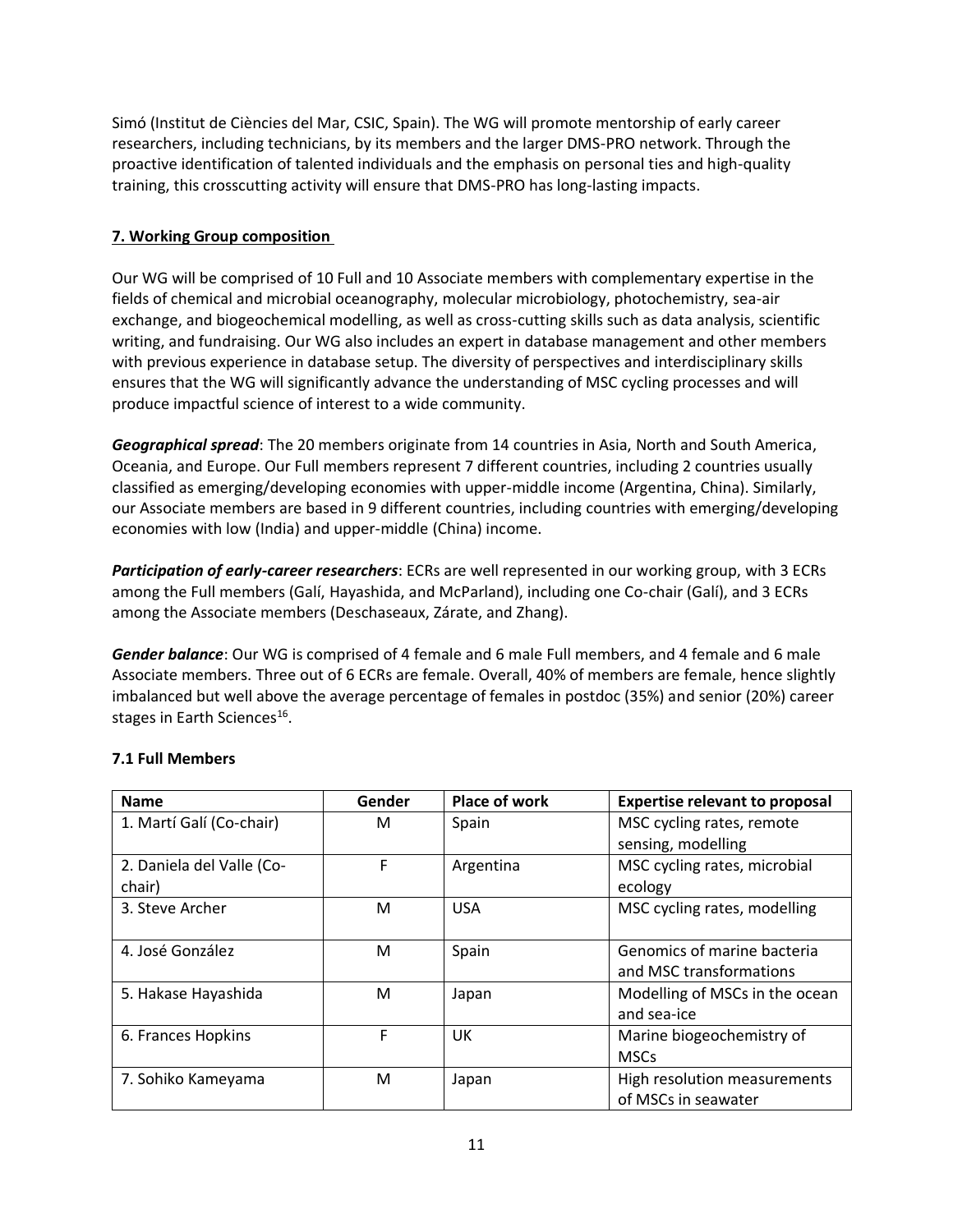Simó (Institut de Ciències del Mar, CSIC, Spain). The WG will promote mentorship of early career researchers, including technicians, by its members and the larger DMS-PRO network. Through the proactive identification of talented individuals and the emphasis on personal ties and high-quality training, this crosscutting activity will ensure that DMS-PRO has long-lasting impacts.

# **7. Working Group composition**

Our WG will be comprised of 10 Full and 10 Associate members with complementary expertise in the fields of chemical and microbial oceanography, molecular microbiology, photochemistry, sea-air exchange, and biogeochemical modelling, as well as cross-cutting skills such as data analysis, scientific writing, and fundraising. Our WG also includes an expert in database management and other members with previous experience in database setup. The diversity of perspectives and interdisciplinary skills ensures that the WG will significantly advance the understanding of MSC cycling processes and will produce impactful science of interest to a wide community.

*Geographical spread*: The 20 members originate from 14 countries in Asia, North and South America, Oceania, and Europe. Our Full members represent 7 different countries, including 2 countries usually classified as emerging/developing economies with upper-middle income (Argentina, China). Similarly, our Associate members are based in 9 different countries, including countries with emerging/developing economies with low (India) and upper-middle (China) income.

*Participation of early-career researchers*: ECRs are well represented in our working group, with 3 ECRs among the Full members (Galí, Hayashida, and McParland), including one Co-chair (Galí), and 3 ECRs among the Associate members (Deschaseaux, Zárate, and Zhang).

*Gender balance*: Our WG is comprised of 4 female and 6 male Full members, and 4 female and 6 male Associate members. Three out of 6 ECRs are female. Overall, 40% of members are female, hence slightly imbalanced but well above the average percentage of females in postdoc (35%) and senior (20%) career stages in Earth Sciences<sup>16</sup>.

| <b>Name</b>               | Gender | <b>Place of work</b> | <b>Expertise relevant to proposal</b> |
|---------------------------|--------|----------------------|---------------------------------------|
| 1. Martí Galí (Co-chair)  | М      | Spain                | MSC cycling rates, remote             |
|                           |        |                      | sensing, modelling                    |
| 2. Daniela del Valle (Co- | F      | Argentina            | MSC cycling rates, microbial          |
| chair)                    |        |                      | ecology                               |
| 3. Steve Archer           | М      | <b>USA</b>           | MSC cycling rates, modelling          |
|                           |        |                      |                                       |
| 4. José González          | м      | Spain                | Genomics of marine bacteria           |
|                           |        |                      | and MSC transformations               |
| 5. Hakase Hayashida       | M      | Japan                | Modelling of MSCs in the ocean        |
|                           |        |                      | and sea-ice                           |
| 6. Frances Hopkins        | F      | UK                   | Marine biogeochemistry of             |
|                           |        |                      | <b>MSCs</b>                           |
| 7. Sohiko Kameyama        | M      | Japan                | High resolution measurements          |
|                           |        |                      | of MSCs in seawater                   |

### **7.1 Full Members**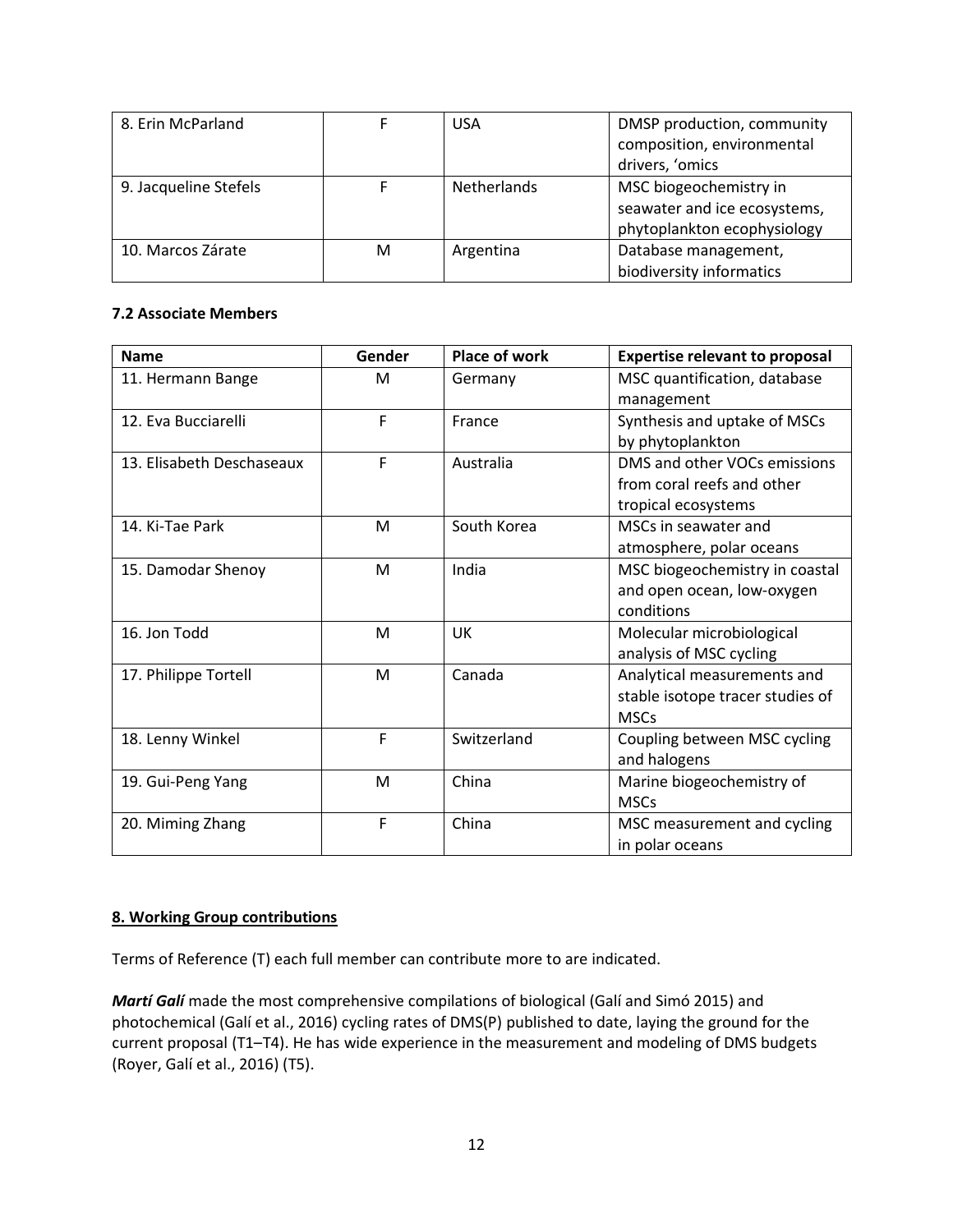| 8. Erin McParland     |   | USA         | DMSP production, community   |
|-----------------------|---|-------------|------------------------------|
|                       |   |             | composition, environmental   |
|                       |   |             | drivers, 'omics              |
| 9. Jacqueline Stefels |   | Netherlands | MSC biogeochemistry in       |
|                       |   |             | seawater and ice ecosystems, |
|                       |   |             | phytoplankton ecophysiology  |
| 10. Marcos Zárate     | м | Argentina   | Database management,         |
|                       |   |             | biodiversity informatics     |

#### **7.2 Associate Members**

| <b>Name</b>               | Gender | <b>Place of work</b> | <b>Expertise relevant to proposal</b> |
|---------------------------|--------|----------------------|---------------------------------------|
| 11. Hermann Bange         | м      | Germany              | MSC quantification, database          |
|                           |        |                      | management                            |
| 12. Eva Bucciarelli       | F      | France               | Synthesis and uptake of MSCs          |
|                           |        |                      | by phytoplankton                      |
| 13. Elisabeth Deschaseaux | F      | Australia            | DMS and other VOCs emissions          |
|                           |        |                      | from coral reefs and other            |
|                           |        |                      | tropical ecosystems                   |
| 14. Ki-Tae Park           | M      | South Korea          | MSCs in seawater and                  |
|                           |        |                      | atmosphere, polar oceans              |
| 15. Damodar Shenoy        | M      | India                | MSC biogeochemistry in coastal        |
|                           |        |                      | and open ocean, low-oxygen            |
|                           |        |                      | conditions                            |
| 16. Jon Todd              | M      | UK                   | Molecular microbiological             |
|                           |        |                      | analysis of MSC cycling               |
| 17. Philippe Tortell      | M      | Canada               | Analytical measurements and           |
|                           |        |                      | stable isotope tracer studies of      |
|                           |        |                      | <b>MSCs</b>                           |
| 18. Lenny Winkel          | F      | Switzerland          | Coupling between MSC cycling          |
|                           |        |                      | and halogens                          |
| 19. Gui-Peng Yang         | M      | China                | Marine biogeochemistry of             |
|                           |        |                      | <b>MSCs</b>                           |
| 20. Miming Zhang          | F      | China                | MSC measurement and cycling           |
|                           |        |                      | in polar oceans                       |

### **8. Working Group contributions**

Terms of Reference (T) each full member can contribute more to are indicated.

*Martí Galí* made the most comprehensive compilations of biological (Galí and Simó 2015) and photochemical (Galí et al., 2016) cycling rates of DMS(P) published to date, laying the ground for the current proposal (T1–T4). He has wide experience in the measurement and modeling of DMS budgets (Royer, Galí et al., 2016) (T5).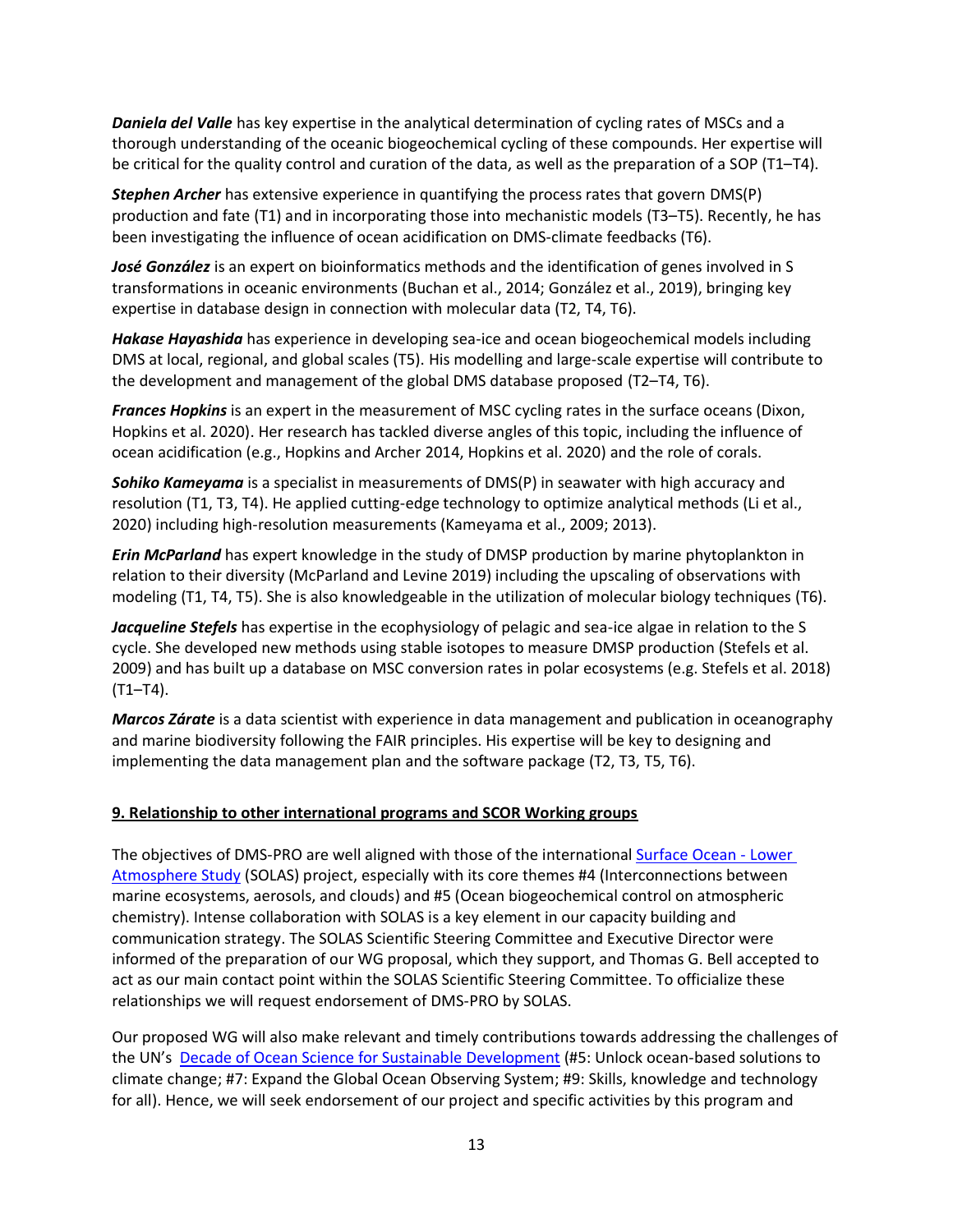*Daniela del Valle* has key expertise in the analytical determination of cycling rates of MSCs and a thorough understanding of the oceanic biogeochemical cycling of these compounds. Her expertise will be critical for the quality control and curation of the data, as well as the preparation of a SOP (T1–T4).

*Stephen Archer* has extensive experience in quantifying the process rates that govern DMS(P) production and fate (T1) and in incorporating those into mechanistic models (T3–T5). Recently, he has been investigating the influence of ocean acidification on DMS-climate feedbacks (T6).

*José González* is an expert on bioinformatics methods and the identification of genes involved in S transformations in oceanic environments (Buchan et al., 2014; González et al., 2019), bringing key expertise in database design in connection with molecular data (T2, T4, T6).

*Hakase Hayashida* has experience in developing sea-ice and ocean biogeochemical models including DMS at local, regional, and global scales (T5). His modelling and large-scale expertise will contribute to the development and management of the global DMS database proposed (T2–T4, T6).

*Frances Hopkins* is an expert in the measurement of MSC cycling rates in the surface oceans (Dixon, Hopkins et al. 2020). Her research has tackled diverse angles of this topic, including the influence of ocean acidification (e.g., Hopkins and Archer 2014, Hopkins et al. 2020) and the role of corals.

*Sohiko Kameyama* is a specialist in measurements of DMS(P) in seawater with high accuracy and resolution (T1, T3, T4). He applied cutting-edge technology to optimize analytical methods (Li et al., 2020) including high-resolution measurements (Kameyama et al., 2009; 2013).

*Erin McParland* has expert knowledge in the study of DMSP production by marine phytoplankton in relation to their diversity (McParland and Levine 2019) including the upscaling of observations with modeling (T1, T4, T5). She is also knowledgeable in the utilization of molecular biology techniques (T6).

*Jacqueline Stefels* has expertise in the ecophysiology of pelagic and sea-ice algae in relation to the S cycle. She developed new methods using stable isotopes to measure DMSP production (Stefels et al. 2009) and has built up a database on MSC conversion rates in polar ecosystems (e.g. Stefels et al. 2018) (T1–T4).

*Marcos Zárate* is a data scientist with experience in data management and publication in oceanography and marine biodiversity following the FAIR principles. His expertise will be key to designing and implementing the data management plan and the software package (T2, T3, T5, T6).

### **9. Relationship to other international programs and SCOR Working groups**

The objectives of DMS-PRO are well aligned with those of the international [Surface Ocean -](https://www.solas-int.org/) Lower [Atmosphere Study](https://www.solas-int.org/) (SOLAS) project, especially with its core themes #4 (Interconnections between marine ecosystems, aerosols, and clouds) and #5 (Ocean biogeochemical control on atmospheric chemistry). Intense collaboration with SOLAS is a key element in our capacity building and communication strategy. The SOLAS Scientific Steering Committee and Executive Director were informed of the preparation of our WG proposal, which they support, and Thomas G. Bell accepted to act as our main contact point within the SOLAS Scientific Steering Committee. To officialize these relationships we will request endorsement of DMS-PRO by SOLAS.

Our proposed WG will also make relevant and timely contributions towards addressing the challenges of the UN's [Decade of Ocean Science for Sustainable Development](https://www.oceandecade.org/challenges/) (#5: Unlock ocean-based solutions to climate change; #7: Expand the Global Ocean Observing System; #9: Skills, knowledge and technology for all). Hence, we will seek endorsement of our project and specific activities by this program and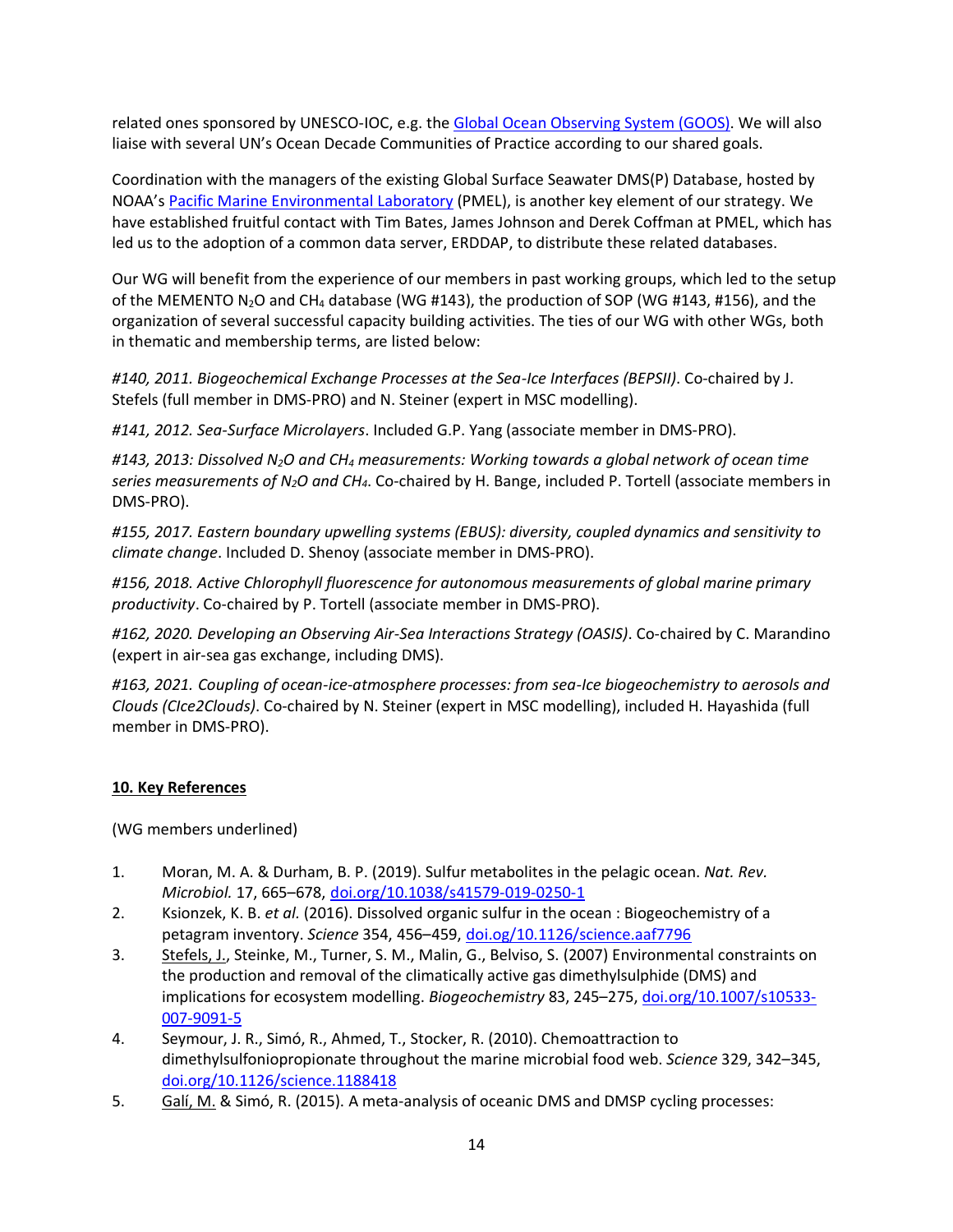related ones sponsored by UNESCO-IOC, e.g. th[e Global Ocean Observing System \(GOOS\).](https://ioc.unesco.org/our-work/global-ocean-observing-system-goos) We will also liaise with several UN's Ocean Decade Communities of Practice according to our shared goals.

Coordination with the managers of the existing Global Surface Seawater DMS(P) Database, hosted by NOAA's [Pacific Marine Environmental Laboratory](https://www.pmel.noaa.gov/) (PMEL), is another key element of our strategy. We have established fruitful contact with Tim Bates, James Johnson and Derek Coffman at PMEL, which has led us to the adoption of a common data server, ERDDAP, to distribute these related databases.

Our WG will benefit from the experience of our members in past working groups, which led to the setup of the MEMENTO  $N_2O$  and CH<sub>4</sub> database (WG #143), the production of SOP (WG #143, #156), and the organization of several successful capacity building activities. The ties of our WG with other WGs, both in thematic and membership terms, are listed below:

*#140, 2011. Biogeochemical Exchange Processes at the Sea-Ice Interfaces (BEPSII)*. Co-chaired by J. Stefels (full member in DMS-PRO) and N. Steiner (expert in MSC modelling).

*#141, 2012. Sea-Surface Microlayers*. Included G.P. Yang (associate member in DMS-PRO).

*#143, 2013: Dissolved N2O and CH<sup>4</sup> measurements: Working towards a global network of ocean time series measurements of N2O and CH4*. Co-chaired by H. Bange, included P. Tortell (associate members in DMS-PRO).

*#155, 2017. Eastern boundary upwelling systems (EBUS): diversity, coupled dynamics and sensitivity to climate change*. Included D. Shenoy (associate member in DMS-PRO).

*#156, 2018. Active Chlorophyll fluorescence for autonomous measurements of global marine primary productivity*. Co-chaired by P. Tortell (associate member in DMS-PRO).

*#162, 2020. Developing an Observing Air-Sea Interactions Strategy (OASIS)*. Co-chaired by C. Marandino (expert in air-sea gas exchange, including DMS).

*#163, 2021. Coupling of ocean-ice-atmosphere processes: from sea-Ice biogeochemistry to aerosols and Clouds (CIce2Clouds)*. Co-chaired by N. Steiner (expert in MSC modelling), included H. Hayashida (full member in DMS-PRO).

# **10. Key References**

(WG members underlined)

- 1. Moran, M. A. & Durham, B. P. (2019). Sulfur metabolites in the pelagic ocean. *Nat. Rev. Microbiol.* 17, 665–678, <doi.org/10.1038/s41579-019-0250-1>
- 2. Ksionzek, K. B. *et al.* (2016). Dissolved organic sulfur in the ocean : Biogeochemistry of a petagram inventory. *Science* 354, 456–459, <doi.og/10.1126/science.aaf7796>
- 3. Stefels, J., Steinke, M., Turner, S. M., Malin, G., Belviso, S. (2007) Environmental constraints on the production and removal of the climatically active gas dimethylsulphide (DMS) and implications for ecosystem modelling. *Biogeochemistry* 83, 245–275, [doi.org/10.1007/s10533-](https://doi.org/10.1007/s10533-007-9091-5) [007-9091-5](https://doi.org/10.1007/s10533-007-9091-5)
- 4. Seymour, J. R., Simó, R., Ahmed, T., Stocker, R. (2010). Chemoattraction to dimethylsulfoniopropionate throughout the marine microbial food web. *Science* 329, 342–345, [doi.org/10.1126/science.1188418](https://doi.org/10.1126/science.1188418)
- 5. Galí, M. & Simó, R. (2015). A meta-analysis of oceanic DMS and DMSP cycling processes: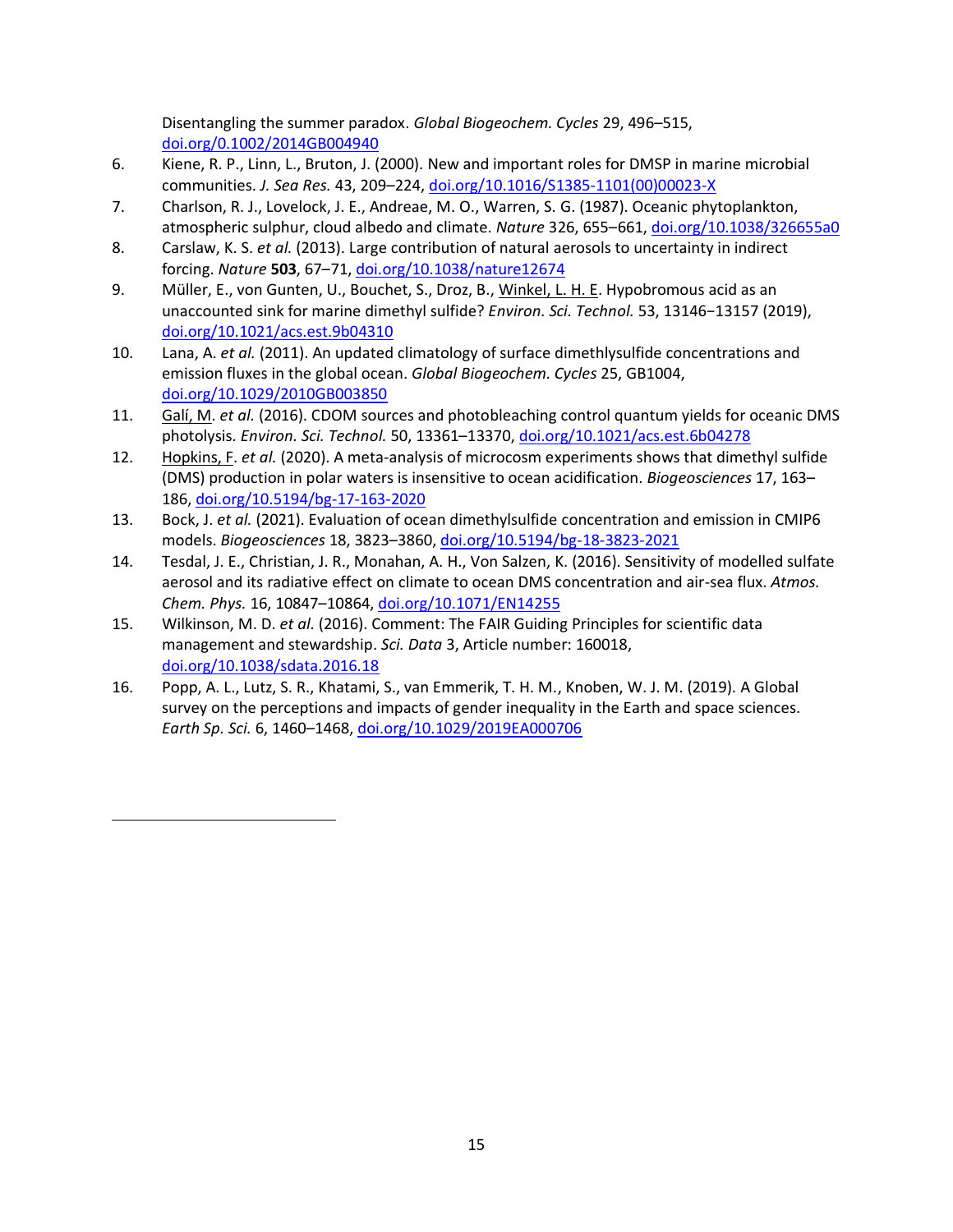Disentangling the summer paradox. *Global Biogeochem. Cycles* 29, 496–515, [doi.org/0.1002/2014GB004940](https://doi.org/10.1002/2014GB004940)

- 6. Kiene, R. P., Linn, L., Bruton, J. (2000). New and important roles for DMSP in marine microbial communities. *J. Sea Res.* 43, 209–224, [doi.org/10.1016/S1385-1101\(00\)00023-X](https://doi.org/10.1016/S1385-1101(00)00023-X)
- 7. Charlson, R. J., Lovelock, J. E., Andreae, M. O., Warren, S. G. (1987). Oceanic phytoplankton, atmospheric sulphur, cloud albedo and climate. *Nature* 326, 655–661, [doi.org/10.1038/326655a0](https://doi.org/10.1038/326655a0)
- 8. Carslaw, K. S. *et al.* (2013). Large contribution of natural aerosols to uncertainty in indirect forcing. *Nature* **503**, 67–71, [doi.org/10.1038/nature12674](https://doi.org/10.1038/nature12674)
- 9. Müller, E., von Gunten, U., Bouchet, S., Droz, B., Winkel, L. H. E. Hypobromous acid as an unaccounted sink for marine dimethyl sulfide? *Environ. Sci. Technol.* 53, 13146−13157 (2019), [doi.org/10.1021/acs.est.9b04310](https://doi.org/10.1021/acs.est.9b04310)
- 10. Lana, A. *et al.* (2011). An updated climatology of surface dimethlysulfide concentrations and emission fluxes in the global ocean. *Global Biogeochem. Cycles* 25, GB1004, <doi.org/10.1029/2010GB003850>
- 11. Galí, M. *et al.* (2016). CDOM sources and photobleaching control quantum yields for oceanic DMS photolysis. *Environ. Sci. Technol.* 50, 13361–13370[, doi.org/10.1021/acs.est.6b04278](https://doi.org/10.1021/acs.est.6b04278)
- 12. Hopkins, F. *et al.* (2020). A meta-analysis of microcosm experiments shows that dimethyl sulfide (DMS) production in polar waters is insensitive to ocean acidification. *Biogeosciences* 17, 163– 186, [doi.org/10.5194/bg-17-163-2020](https://doi.org/10.5194/bg-17-163-2020)
- 13. Bock, J. *et al.* (2021). Evaluation of ocean dimethylsulfide concentration and emission in CMIP6 models. *Biogeosciences* 18, 3823–3860, [doi.org/10.5194/bg-18-3823-2021](https://doi.org/10.5194/bg-18-3823-2021)
- 14. Tesdal, J. E., Christian, J. R., Monahan, A. H., Von Salzen, K. (2016). Sensitivity of modelled sulfate aerosol and its radiative effect on climate to ocean DMS concentration and air-sea flux. *Atmos. Chem. Phys.* 16, 10847–10864, [doi.org/10.1071/EN14255](https://doi.org/10.1071/EN14255)
- 15. Wilkinson, M. D. *et al.* (2016). Comment: The FAIR Guiding Principles for scientific data management and stewardship. *Sci. Data* 3, Article number: 160018, <doi.org/10.1038/sdata.2016.18>
- 16. Popp, A. L., Lutz, S. R., Khatami, S., van Emmerik, T. H. M., Knoben, W. J. M. (2019). A Global survey on the perceptions and impacts of gender inequality in the Earth and space sciences. *Earth Sp. Sci.* 6, 1460–1468, [doi.org/10.1029/2019EA000706](https://doi.org/10.1029/2019EA000706)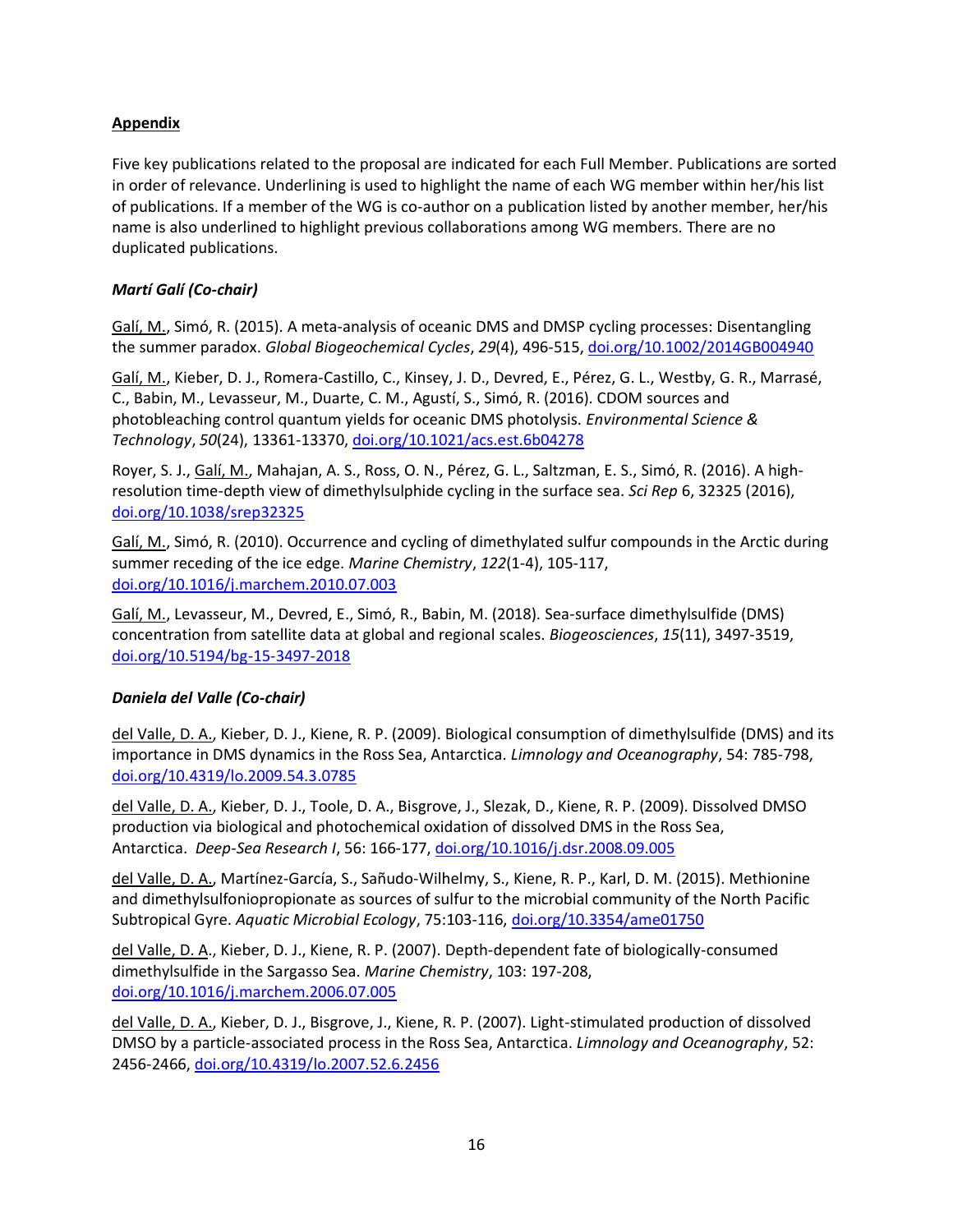# **Appendix**

Five key publications related to the proposal are indicated for each Full Member. Publications are sorted in order of relevance. Underlining is used to highlight the name of each WG member within her/his list of publications. If a member of the WG is co-author on a publication listed by another member, her/his name is also underlined to highlight previous collaborations among WG members. There are no duplicated publications.

## *Martí Galí (Co-chair)*

Galí, M., Simó, R. (2015). A meta‐analysis of oceanic DMS and DMSP cycling processes: Disentangling the summer paradox. *Global Biogeochemical Cycles*, *29*(4), 496-515, [doi.org/10.1002/2014GB004940](https://doi.org/10.1002/2014GB004940)

Galí, M., Kieber, D. J., Romera-Castillo, C., Kinsey, J. D., Devred, E., Pérez, G. L., Westby, G. R., Marrasé, C., Babin, M., Levasseur, M., Duarte, C. M., Agustí, S., Simó, R. (2016). CDOM sources and photobleaching control quantum yields for oceanic DMS photolysis. *Environmental Science & Technology*, *50*(24), 13361-13370[, doi.org/10.1021/acs.est.6b04278](https://doi.org/10.1021/acs.est.6b04278)

Royer, S. J., Galí, M., Mahajan, A. S., Ross, O. N., Pérez, G. L., Saltzman, E. S., Simó, R. (2016). A highresolution time-depth view of dimethylsulphide cycling in the surface sea. *Sci Rep* 6, 32325 (2016), [doi.org/10.1038/srep32325](https://doi.org/10.1038/srep32325)

Galí, M., Simó, R. (2010). Occurrence and cycling of dimethylated sulfur compounds in the Arctic during summer receding of the ice edge. *Marine Chemistry*, *122*(1-4), 105-117, [doi.org/10.1016/j.marchem.2010.07.003](https://doi.org/10.1016/j.marchem.2010.07.003)

Galí, M., Levasseur, M., Devred, E., Simó, R., Babin, M. (2018). Sea-surface dimethylsulfide (DMS) concentration from satellite data at global and regional scales. *Biogeosciences*, *15*(11), 3497-3519, [doi.org/10.5194/bg-15-3497-2018](https://doi.org/10.5194/bg-15-3497-2018)

### *Daniela del Valle (Co-chair)*

del Valle, D. A., Kieber, D. J., Kiene, R. P. (2009). Biological consumption of dimethylsulfide (DMS) and its importance in DMS dynamics in the Ross Sea, Antarctica. *Limnology and Oceanography*, 54: 785-798, [doi.org/10.4319/lo.2009.54.3.0785](https://doi.org/10.4319/lo.2009.54.3.0785)

del Valle, D. A., Kieber, D. J., Toole, D. A., Bisgrove, J., Slezak, D., Kiene, R. P. (2009). Dissolved DMSO production via biological and photochemical oxidation of dissolved DMS in the Ross Sea, Antarctica. *Deep-Sea Research I*, 56: 166-177[, doi.org/10.1016/j.dsr.2008.09.005](https://doi.org/10.1016/j.dsr.2008.09.005)

del Valle, D. A., Martínez-García, S., Sañudo-Wilhelmy, S., Kiene, R. P., Karl, D. M. (2015). Methionine and dimethylsulfoniopropionate as sources of sulfur to the microbial community of the North Pacific Subtropical Gyre. *Aquatic Microbial Ecology*, 75:103-116[, doi.org/10.3354/ame01750](https://doi.org/10.3354/ame01750)

del Valle, D. A., Kieber, D. J., Kiene, R. P. (2007). Depth-dependent fate of biologically-consumed dimethylsulfide in the Sargasso Sea. *Marine Chemistry*, 103: 197-208, [doi.org/10.1016/j.marchem.2006.07.005](https://doi.org/10.1016/j.marchem.2006.07.005)

del Valle, D. A., Kieber, D. J., Bisgrove, J., Kiene, R. P. (2007). Light-stimulated production of dissolved DMSO by a particle-associated process in the Ross Sea, Antarctica. *Limnology and Oceanography*, 52: 2456-2466, [doi.org/10.4319/lo.2007.52.6.2456](https://doi.org/10.4319/lo.2007.52.6.2456)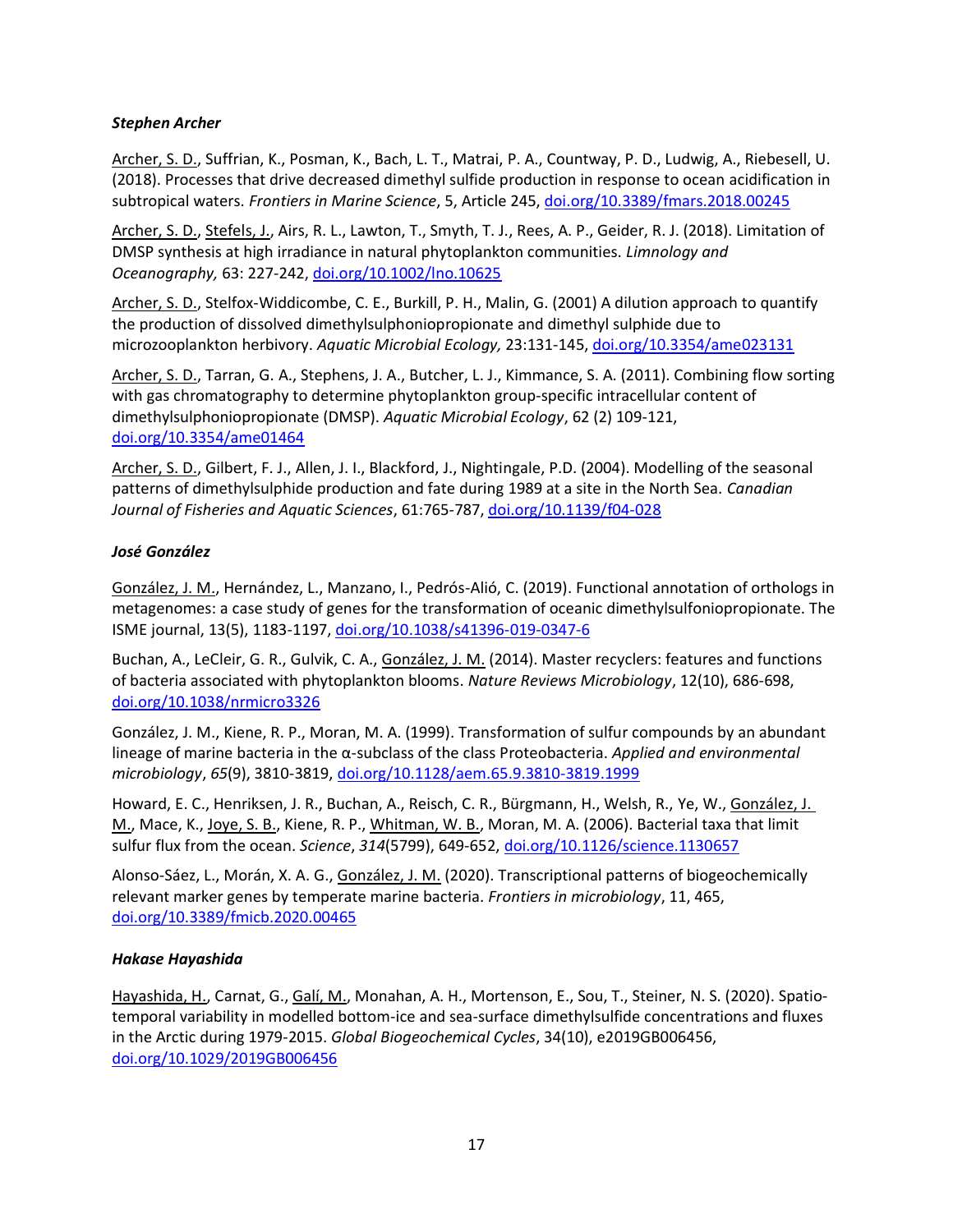# *Stephen Archer*

Archer, S. D., Suffrian, K., Posman, K., Bach, L. T., Matrai, P. A., Countway, P. D., Ludwig, A., Riebesell, U. (2018). Processes that drive decreased dimethyl sulfide production in response to ocean acidification in subtropical waters. *Frontiers in Marine Science*, 5, Article 245, [doi.org/10.3389/fmars.2018.00245](https://doi.org/10.3389/fmars.2018.00245)

Archer, S. D., Stefels, J., Airs, R. L., Lawton, T., Smyth, T. J., Rees, A. P., Geider, R. J. (2018). Limitation of DMSP synthesis at high irradiance in natural phytoplankton communities. *Limnology and Oceanography,* 63: 227-242, [doi.org/10.1002/lno.10625](https://doi.org/10.1002/lno.10625)

Archer, S. D., Stelfox-Widdicombe, C. E., Burkill, P. H., Malin, G. (2001) A dilution approach to quantify the production of dissolved dimethylsulphoniopropionate and dimethyl sulphide due to microzooplankton herbivory. *Aquatic Microbial Ecology,* 23:131-145, [doi.org/10.3354/ame023131](https://doi.org/10.3354/ame023131)

Archer, S. D., Tarran, G. A., Stephens, J. A., Butcher, L. J., Kimmance, S. A. (2011). Combining flow sorting with gas chromatography to determine phytoplankton group-specific intracellular content of dimethylsulphoniopropionate (DMSP). *Aquatic Microbial Ecology*, 62 (2) 109-121, [doi.org/10.3354/ame01464](https://doi.org/10.3354/ame01464)

Archer, S. D., Gilbert, F. J., Allen, J. I., Blackford, J., Nightingale, P.D. (2004). Modelling of the seasonal patterns of dimethylsulphide production and fate during 1989 at a site in the North Sea. *Canadian Journal of Fisheries and Aquatic Sciences*, 61:765-787, [doi.org/10.1139/f04-028](https://doi.org/10.1139/f04-028)

# *José González*

González, J. M., Hernández, L., Manzano, I., Pedrós-Alió, C. (2019). Functional annotation of orthologs in metagenomes: a case study of genes for the transformation of oceanic dimethylsulfoniopropionate. The ISME journal, 13(5), 1183-1197, [doi.org/10.1038/s41396-019-0347-6](https://doi.org/10.1038/s41396-019-0347-6)

Buchan, A., LeCleir, G. R., Gulvik, C. A., González, J. M. (2014). Master recyclers: features and functions of bacteria associated with phytoplankton blooms. *Nature Reviews Microbiology*, 12(10), 686-698, [doi.org/10.1038/nrmicro3326](https://doi.org/10.1038/nrmicro3326)

González, J. M., Kiene, R. P., Moran, M. A. (1999). Transformation of sulfur compounds by an abundant lineage of marine bacteria in the α-subclass of the class Proteobacteria. *Applied and environmental microbiology*, *65*(9), 3810-3819, [doi.org/10.1128/aem.65.9.3810-3819.1999](https://dx.doi.org/10.1128%2Faem.65.9.3810-3819.1999)

Howard, E. C., Henriksen, J. R., Buchan, A., Reisch, C. R., Bürgmann, H., Welsh, R., Ye, W., González, J. M., Mace, K., Joye, S. B., Kiene, R. P., Whitman, W. B., Moran, M. A. (2006). Bacterial taxa that limit sulfur flux from the ocean. *Science*, *314*(5799), 649-652, [doi.org/10.1126/science.1130657](https://doi.org/10.1126/science.1130657)

Alonso-Sáez, L., Morán, X. A. G., González, J. M. (2020). Transcriptional patterns of biogeochemically relevant marker genes by temperate marine bacteria. *Frontiers in microbiology*, 11, 465, [doi.org/10.3389/fmicb.2020.00465](https://doi.org/10.3389/fmicb.2020.00465)

### *Hakase Hayashida*

Hayashida, H., Carnat, G., Galí, M., Monahan, A. H., Mortenson, E., Sou, T., Steiner, N. S. (2020). Spatiotemporal variability in modelled bottom-ice and sea-surface dimethylsulfide concentrations and fluxes in the Arctic during 1979-2015. *Global Biogeochemical Cycles*, 34(10), e2019GB006456, [doi.org/10.1029/2019GB006456](https://doi.org/10.1029/2019GB006456)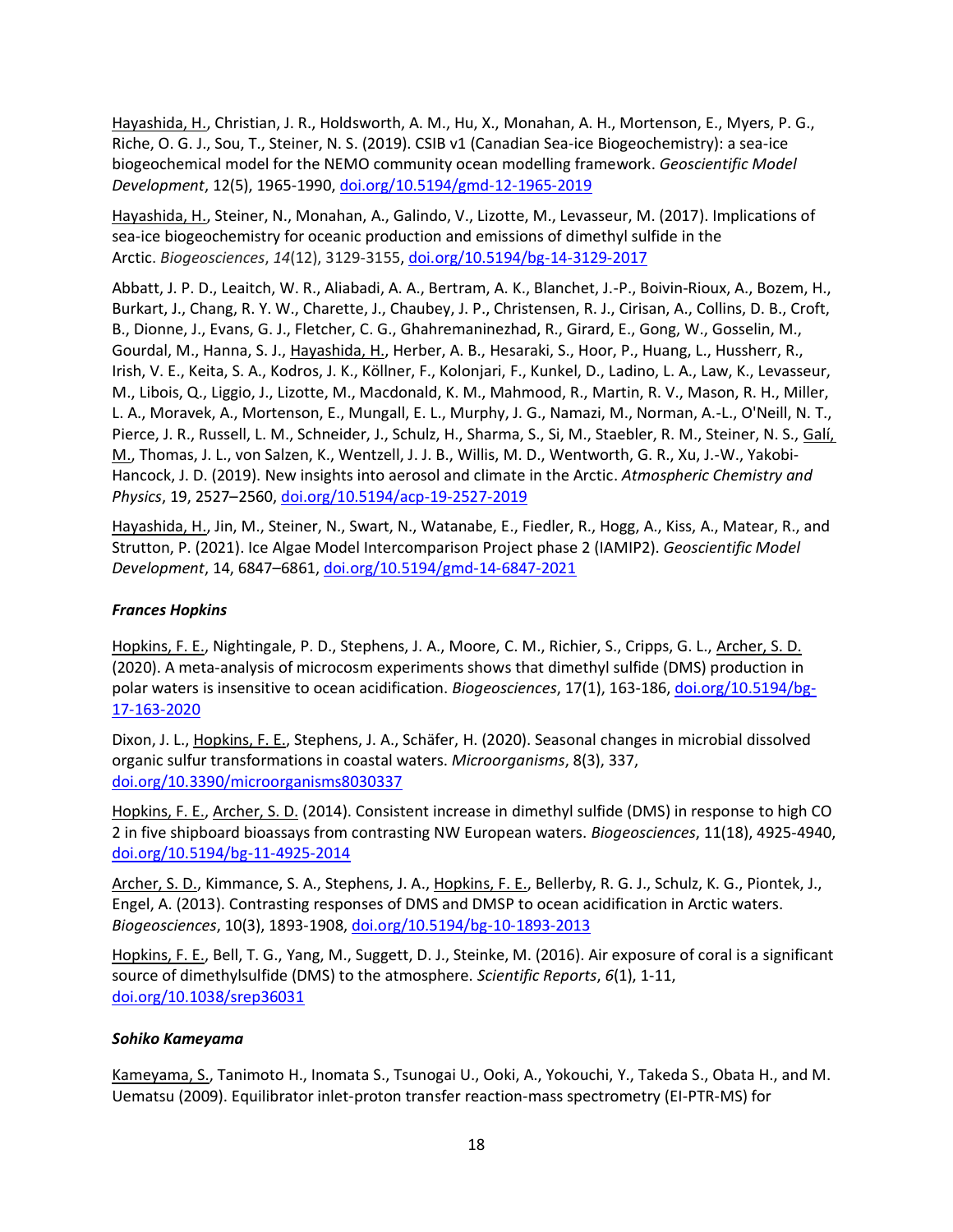Hayashida, H., Christian, J. R., Holdsworth, A. M., Hu, X., Monahan, A. H., Mortenson, E., Myers, P. G., Riche, O. G. J., Sou, T., Steiner, N. S. (2019). CSIB v1 (Canadian Sea-ice Biogeochemistry): a sea-ice biogeochemical model for the NEMO community ocean modelling framework. *Geoscientific Model Development*, 12(5), 1965-1990, [doi.org/10.5194/gmd-12-1965-2019](https://doi.org/10.5194/gmd-12-1965-2019)

Hayashida, H., Steiner, N., Monahan, A., Galindo, V., Lizotte, M., Levasseur, M. (2017). Implications of sea-ice biogeochemistry for oceanic production and emissions of dimethyl sulfide in the Arctic. *Biogeosciences*, *14*(12), 3129-3155[, doi.org/10.5194/bg-14-3129-2017](https://doi.org/10.5194/bg-14-3129-2017)

Abbatt, J. P. D., Leaitch, W. R., Aliabadi, A. A., Bertram, A. K., Blanchet, J.-P., Boivin-Rioux, A., Bozem, H., Burkart, J., Chang, R. Y. W., Charette, J., Chaubey, J. P., Christensen, R. J., Cirisan, A., Collins, D. B., Croft, B., Dionne, J., Evans, G. J., Fletcher, C. G., Ghahremaninezhad, R., Girard, E., Gong, W., Gosselin, M., Gourdal, M., Hanna, S. J., Hayashida, H., Herber, A. B., Hesaraki, S., Hoor, P., Huang, L., Hussherr, R., Irish, V. E., Keita, S. A., Kodros, J. K., Köllner, F., Kolonjari, F., Kunkel, D., Ladino, L. A., Law, K., Levasseur, M., Libois, Q., Liggio, J., Lizotte, M., Macdonald, K. M., Mahmood, R., Martin, R. V., Mason, R. H., Miller, L. A., Moravek, A., Mortenson, E., Mungall, E. L., Murphy, J. G., Namazi, M., Norman, A.-L., O'Neill, N. T., Pierce, J. R., Russell, L. M., Schneider, J., Schulz, H., Sharma, S., Si, M., Staebler, R. M., Steiner, N. S., Galí, M., Thomas, J. L., von Salzen, K., Wentzell, J. J. B., Willis, M. D., Wentworth, G. R., Xu, J.-W., Yakobi-Hancock, J. D. (2019). New insights into aerosol and climate in the Arctic. *Atmospheric Chemistry and Physics*, 19, 2527–2560, [doi.org/10.5194/acp-19-2527-2019](https://doi.org/10.5194/acp-19-2527-2019)

Hayashida, H., Jin, M., Steiner, N., Swart, N., Watanabe, E., Fiedler, R., Hogg, A., Kiss, A., Matear, R., and Strutton, P. (2021). Ice Algae Model Intercomparison Project phase 2 (IAMIP2). *Geoscientific Model Development*, 14, 6847–6861, [doi.org/10.5194/gmd-14-6847-2021](https://doi.org/10.5194/gmd-14-6847-2021)

# *Frances Hopkins*

Hopkins, F. E., Nightingale, P. D., Stephens, J. A., Moore, C. M., Richier, S., Cripps, G. L., Archer, S. D. (2020). A meta-analysis of microcosm experiments shows that dimethyl sulfide (DMS) production in polar waters is insensitive to ocean acidification. *Biogeosciences*, 17(1), 163-186, [doi.org/10.5194/bg-](https://doi.org/10.5194/bg-17-163-2020)[17-163-2020](https://doi.org/10.5194/bg-17-163-2020)

Dixon, J. L., Hopkins, F. E., Stephens, J. A., Schäfer, H. (2020). Seasonal changes in microbial dissolved organic sulfur transformations in coastal waters. *Microorganisms*, 8(3), 337, [doi.org/10.3390/microorganisms8030337](https://doi.org/10.3390/microorganisms8030337)

Hopkins, F. E., Archer, S. D. (2014). Consistent increase in dimethyl sulfide (DMS) in response to high CO 2 in five shipboard bioassays from contrasting NW European waters. *Biogeosciences*, 11(18), 4925-4940, [doi.org/10.5194/bg-11-4925-2014](https://doi.org/10.5194/bg-11-4925-2014)

Archer, S. D., Kimmance, S. A., Stephens, J. A., Hopkins, F. E., Bellerby, R. G. J., Schulz, K. G., Piontek, J., Engel, A. (2013). Contrasting responses of DMS and DMSP to ocean acidification in Arctic waters. *Biogeosciences*, 10(3), 1893-1908, [doi.org/10.5194/bg-10-1893-2013](https://doi.org/10.5194/bg-10-1893-2013)

Hopkins, F. E., Bell, T. G., Yang, M., Suggett, D. J., Steinke, M. (2016). Air exposure of coral is a significant source of dimethylsulfide (DMS) to the atmosphere. *Scientific Reports*, *6*(1), 1-11, [doi.org/10.1038/srep36031](https://doi.org/10.1038/srep36031)

### *Sohiko Kameyama*

Kameyama, S., Tanimoto H., Inomata S., Tsunogai U., Ooki, A., Yokouchi, Y., Takeda S., Obata H., and M. Uematsu (2009). Equilibrator inlet-proton transfer reaction-mass spectrometry (EI-PTR-MS) for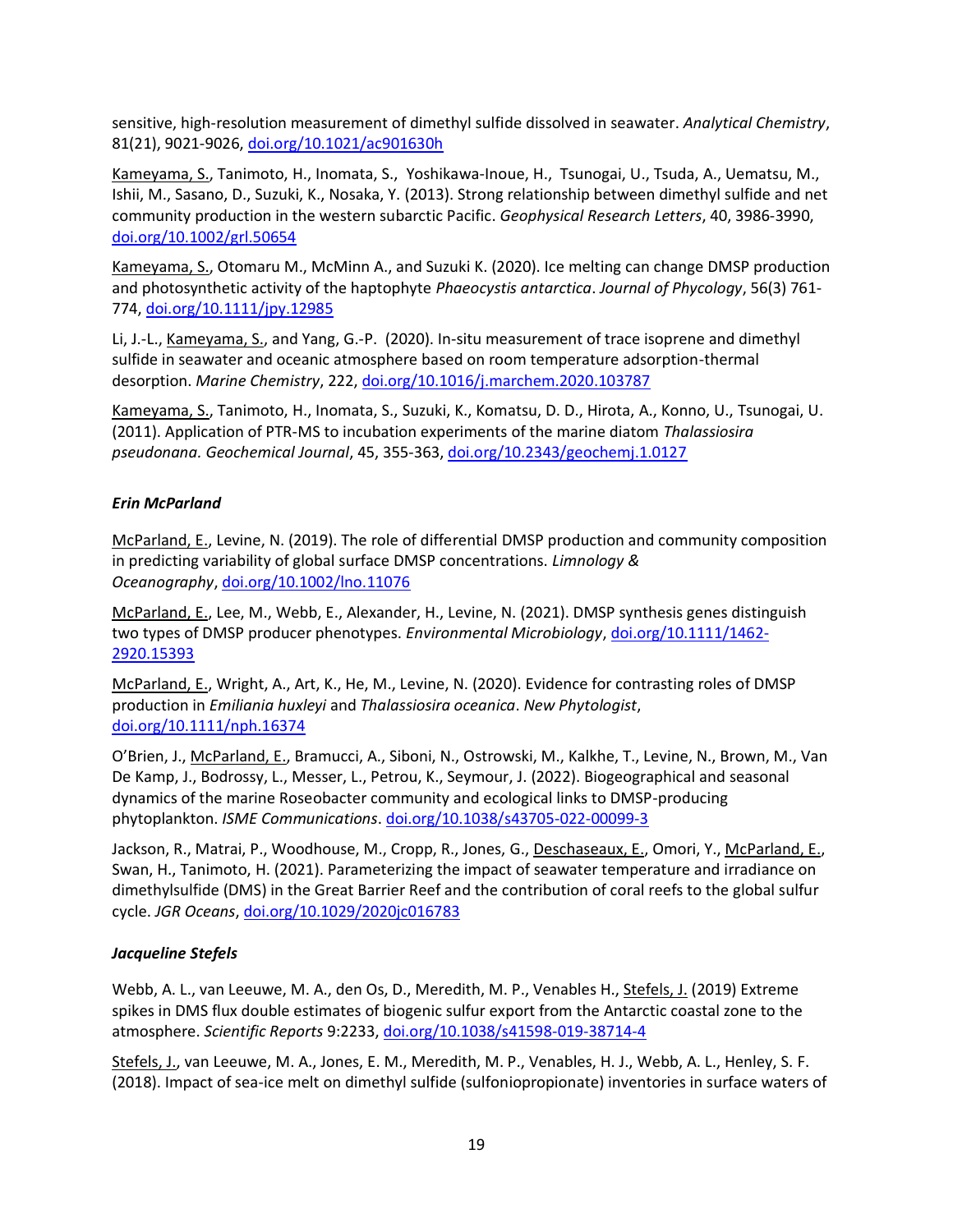sensitive, high-resolution measurement of dimethyl sulfide dissolved in seawater. *Analytical Chemistry*, 81(21), 9021-9026, [doi.org/10.1021/ac901630h](https://doi.org/10.1021/ac901630h)

Kameyama, S., Tanimoto, H., Inomata, S., Yoshikawa-Inoue, H., Tsunogai, U., Tsuda, A., Uematsu, M., Ishii, M., Sasano, D., Suzuki, K., Nosaka, Y. (2013). Strong relationship between dimethyl sulfide and net community production in the western subarctic Pacific. *Geophysical Research Letters*, 40, 3986-3990, [doi.org/10.1002/grl.50654](https://doi.org/10.1002/grl.50654)

Kameyama, S., Otomaru M., McMinn A., and Suzuki K. (2020). Ice melting can change DMSP production and photosynthetic activity of the haptophyte *Phaeocystis antarctica*. *Journal of Phycology*, 56(3) 761- 774, [doi.org/10.1111/jpy.12985](https://doi.org/10.1111/jpy.12985)

Li, J.-L., Kameyama, S., and Yang, G.-P. (2020). In-situ measurement of trace isoprene and dimethyl sulfide in seawater and oceanic atmosphere based on room temperature adsorption-thermal desorption. *Marine Chemistry*, 222[, doi.org/10.1016/j.marchem.2020.103787](https://doi.org/10.1016/j.marchem.2020.103787)

Kameyama, S., Tanimoto, H., Inomata, S., Suzuki, K., Komatsu, D. D., Hirota, A., Konno, U., Tsunogai, U. (2011). Application of PTR-MS to incubation experiments of the marine diatom *Thalassiosira pseudonana. Geochemical Journal*, 45, 355-363, [doi.org/10.2343/geochemj.1.0127](https://doi.org/10.2343/geochemj.1.0127)

# *Erin McParland*

McParland, E., Levine, N. (2019). The role of differential DMSP production and community composition in predicting variability of global surface DMSP concentrations. *Limnology & Oceanography*, [doi.org/10.1002/lno.11076](https://doi.org/10.1002/lno.11076)

McParland, E., Lee, M., Webb, E., Alexander, H., Levine, N. (2021). DMSP synthesis genes distinguish two types of DMSP producer phenotypes. *Environmental Microbiology*, [doi.org/10.1111/1462-](https://doi.org/10.1111/1462-2920.15393) [2920.15393](https://doi.org/10.1111/1462-2920.15393)

McParland, E., Wright, A., Art, K., He, M., Levine, N. (2020). Evidence for contrasting roles of DMSP production in *Emiliania huxleyi* and *Thalassiosira oceanica*. *New Phytologist*, [doi.org/10.1111/nph.16374](https://doi.org/10.1111/nph.16374)

O'Brien, J., McParland, E., Bramucci, A., Siboni, N., Ostrowski, M., Kalkhe, T., Levine, N., Brown, M., Van De Kamp, J., Bodrossy, L., Messer, L., Petrou, K., Seymour, J. (2022). Biogeographical and seasonal dynamics of the marine Roseobacter community and ecological links to DMSP-producing phytoplankton. *ISME Communications*. [doi.org/10.1038/s43705-022-00099-3](https://doi.org/10.1038/s43705-022-00099-3)

Jackson, R., Matrai, P., Woodhouse, M., Cropp, R., Jones, G., Deschaseaux, E., Omori, Y., McParland, E., Swan, H., Tanimoto, H. (2021). Parameterizing the impact of seawater temperature and irradiance on dimethylsulfide (DMS) in the Great Barrier Reef and the contribution of coral reefs to the global sulfur cycle. *JGR Oceans*, [doi.org/10.1029/2020jc016783](https://doi.org/10.1029/2020jc016783)

### *Jacqueline Stefels*

Webb, A. L., van Leeuwe, M. A., den Os, D., Meredith, M. P., Venables H., Stefels, J. (2019) Extreme spikes in DMS flux double estimates of biogenic sulfur export from the Antarctic coastal zone to the atmosphere. *Scientific Reports* 9:2233, [doi.org/10.1038/s41598-019-38714-4](https://doi.org/10.1038/s41598-019-38714-4)

Stefels, J., van Leeuwe, M. A., Jones, E. M., Meredith, M. P., Venables, H. J., Webb, A. L., Henley, S. F. (2018). Impact of sea-ice melt on dimethyl sulfide (sulfoniopropionate) inventories in surface waters of